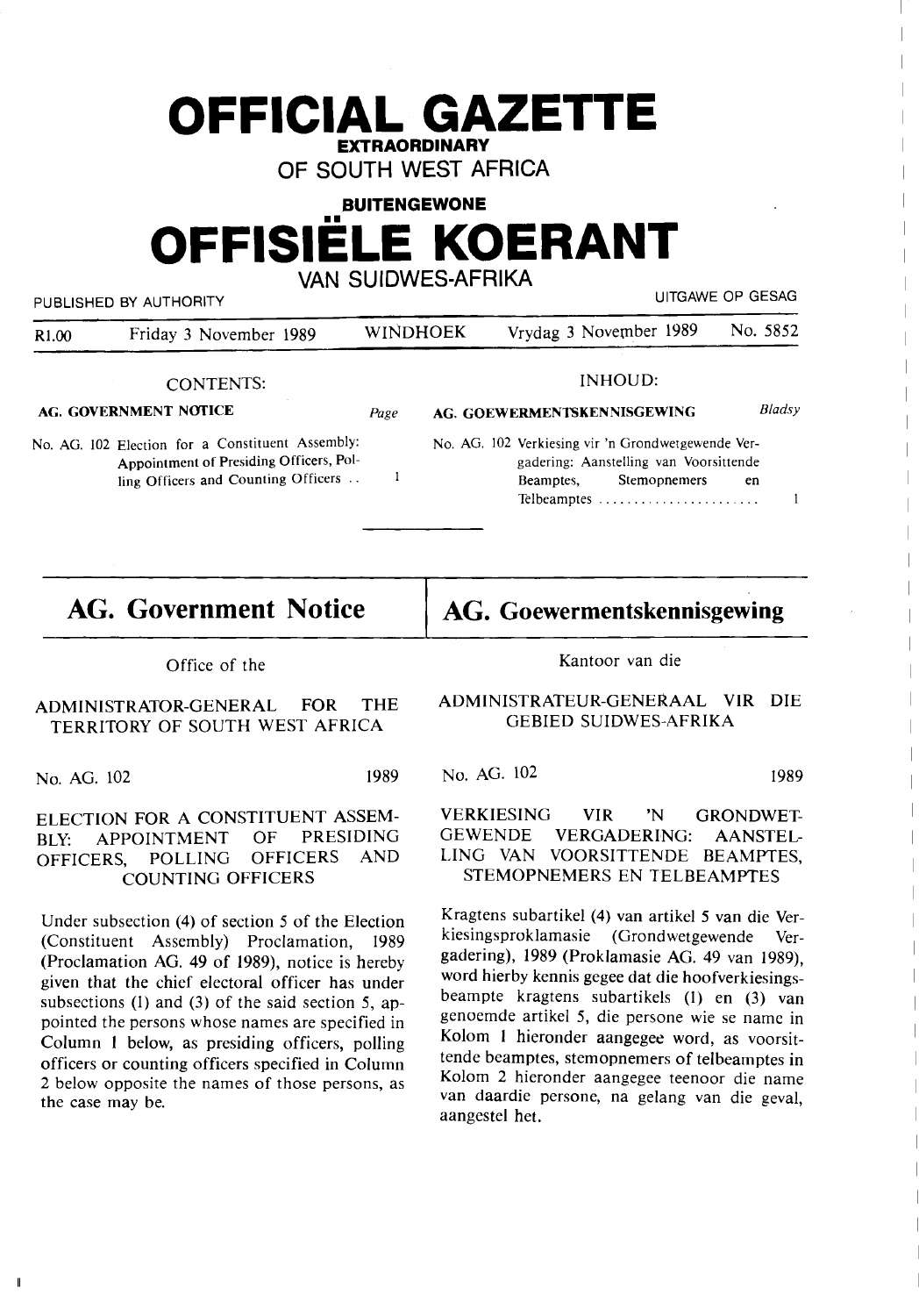| <b>OFFICIAL GAZETTE</b><br><b>EXTRAORDINARY</b><br>OF SOUTH WEST AFRICA |                                                                                                                                    |      |                           |                                                                                                                                  |                   |  |
|-------------------------------------------------------------------------|------------------------------------------------------------------------------------------------------------------------------------|------|---------------------------|----------------------------------------------------------------------------------------------------------------------------------|-------------------|--|
|                                                                         |                                                                                                                                    |      | <b>BUITENGEWONE</b>       |                                                                                                                                  |                   |  |
|                                                                         | <b>OFFISIELE KOERANT</b>                                                                                                           |      |                           |                                                                                                                                  |                   |  |
|                                                                         |                                                                                                                                    |      | <b>VAN SUIDWES-AFRIKA</b> |                                                                                                                                  |                   |  |
|                                                                         | PUBLISHED BY AUTHORITY                                                                                                             |      |                           |                                                                                                                                  | LIITGAWE OP GESAG |  |
| R <sub>1.00</sub>                                                       | Friday 3 November 1989                                                                                                             |      | WINDHOEK                  | Vrydag 3 November 1989                                                                                                           | No. 5852          |  |
|                                                                         | <b>CONTENTS:</b>                                                                                                                   |      |                           | <b>INHOUD:</b>                                                                                                                   |                   |  |
| <b>AG. GOVERNMENT NOTICE</b>                                            |                                                                                                                                    | Page |                           | AG. GOEWERMENTSKENNISGEWING                                                                                                      | Bladsy            |  |
|                                                                         | No. AG. 102 Election for a Constituent Assembly:<br>Appointment of Presiding Officers, Pol-<br>ling Officers and Counting Officers | 1    |                           | No. AG. 102 Verkiesing vir 'n Grondwetgewende Ver-<br>gadering: Aanstelling van Voorsittende<br><b>Stemophemers</b><br>Beamptes, | en                |  |
|                                                                         |                                                                                                                                    |      |                           |                                                                                                                                  |                   |  |

**AG. Government Notice** 

**AG. Goewermentskennisgewing.** 

Office of the

ADMINISTRATOR-GENERAL FOR THE TERRITORY OF SOUTH WEST AFRICA

No. AG. 102 1989

## ELECTION FOR A CONSTITUENT ASSEM-BLY: APPOINTMENT OF PRESIDING<br>OFFICERS, POLLING OFFICERS AND OFFICERS, POLLING OFFICERS AND COUNTING OFFICERS

Under subsection (4) of section *5* of the Election (Constituent Assembly) Proclamation, 1989 (Proclamation AG. 49 of 1989), notice is hereby given that the chief electoral officer has under subsections (1) and (3) of the said section *5,* appointed the persons whose names are specified in Column 1 below, as presiding officers, polling officers or counting officers specified in Column 2 below opposite the names of those persons, as the case may be.

 $\mathbf{I}$ 

Kantoor van die

## ADMINISTRATEUR-GENER.AAL VIR DIE GEBIED SUIDWES-AFRIKA

No. AG. 102 1989

VERKIESING VIR 'N GRONDWET-GEWENDE VERGADERING: AANSTEL-LING VAN VOORSITTENDE BEAMPTES, STEMOPNEMERS EN TELBEAMPTES

Kragtens subartikel (4) van artikel *5* van die Verkiesingsproklamasie (Grondwetgewende Vergadering), 1989 (Proklamasie AG. 49 van 1989), word hierby kennis gegee dat die hoofverkiesingsbeampte kragtens subartikels (1) en (3) van genoemde artikel *5,* die persone wie se name in Kolom 1 hieronder aangegee word, as voorsittende beamptes, stemopnemers of telbeamptes in Kolom 2 hieronder aangegee teenoor die name van daardie persone, na gelang van die geval, aangestel het.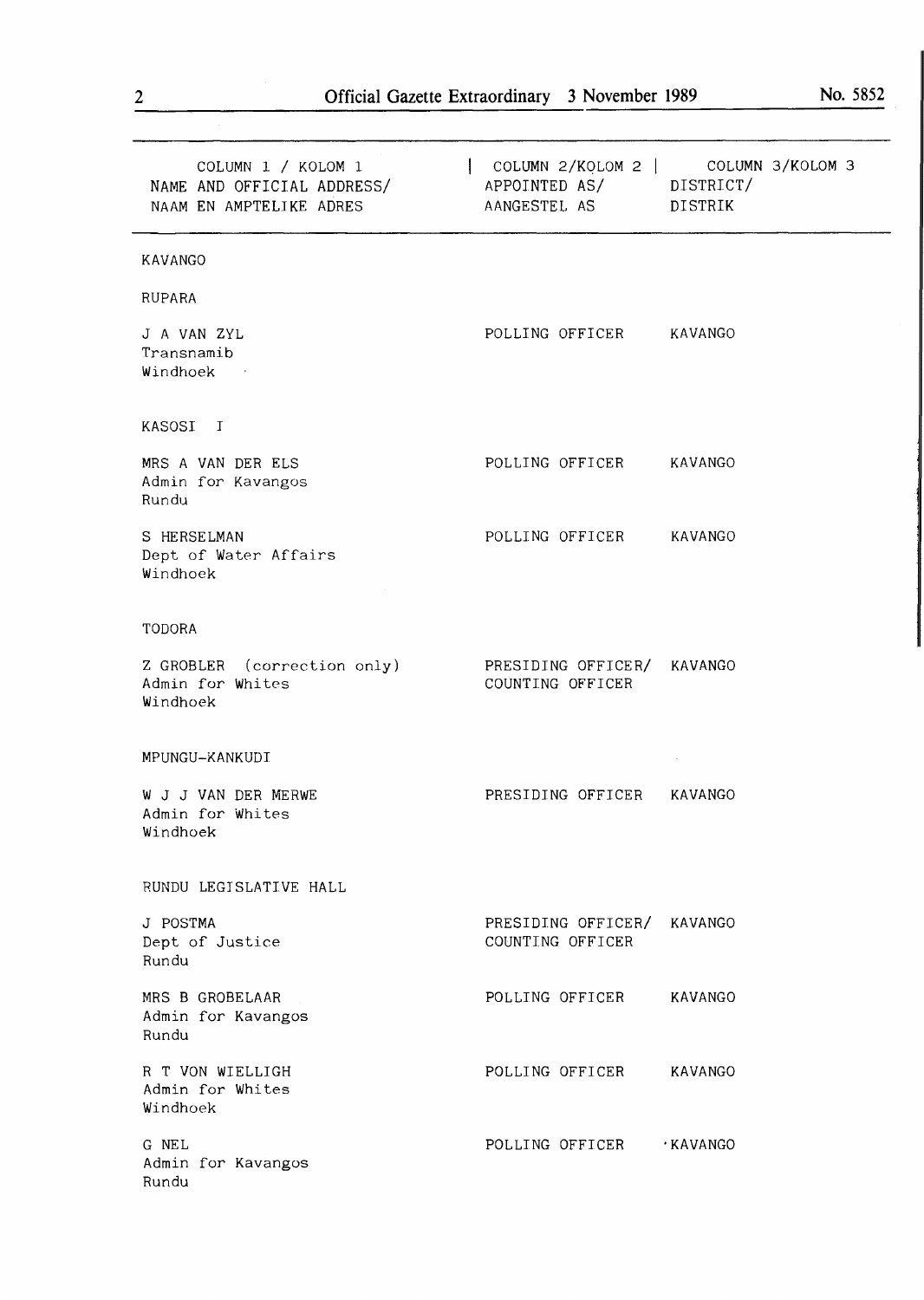| COLUMN 1 / KOLOM 1<br>NAME AND OFFICIAL ADDRESS/<br>NAAM EN AMPTELIKE ADRES | COLUMN 2/KOLOM 2   COLUMN 3/KOLOM 3<br>APPOINTED AS/ DISTRICT/<br>AANGESTEL AS<br>DISTRIK |
|-----------------------------------------------------------------------------|-------------------------------------------------------------------------------------------|
| KAVANGO                                                                     |                                                                                           |
| RUPARA                                                                      |                                                                                           |
| J A VAN ZYL<br>Transnamib<br>Windhoek                                       | POLLING OFFICER KAVANGO                                                                   |
| KASOSI I                                                                    |                                                                                           |
| MRS A VAN DER ELS<br>Admin for Kavangos<br>Rundu                            | POLLING OFFICER KAVANGO                                                                   |
| S HERSELMAN<br>Dept of Water Affairs<br>Windhoek                            | POLLING OFFICER<br>KAVANGO                                                                |
| TODORA                                                                      |                                                                                           |
| Z GROBLER (correction only)<br>Admin for Whites<br>Windhoek                 | PRESIDING OFFICER/<br>KAVANGO<br>COUNTING OFFICER                                         |
| MPUNGU-KANKUDI                                                              |                                                                                           |
| W J J VAN DER MERWE<br>Admin for Whites<br>Windhoek                         | PRESIDING OFFICER<br>KAVANGO                                                              |
| RUNDU LEGISLATIVE HALL                                                      |                                                                                           |
| J POSTMA<br>Dept of Justice<br>Rundu                                        | PRESIDING OFFICER/<br>KAVANGO<br>COUNTING OFFICER                                         |
| MRS B GROBELAAR<br>Admin for Kavangos<br>Rundu                              | POLLING OFFICER<br>KAVANGO                                                                |
| R T VON WIELLIGH<br>Admin for Whites<br>Windhoek                            | POLLING OFFICER<br>KAVANGO                                                                |
| G NEL<br>Admin for Kavangos<br>Rundu                                        | POLLING OFFICER<br>∙KAVANGO                                                               |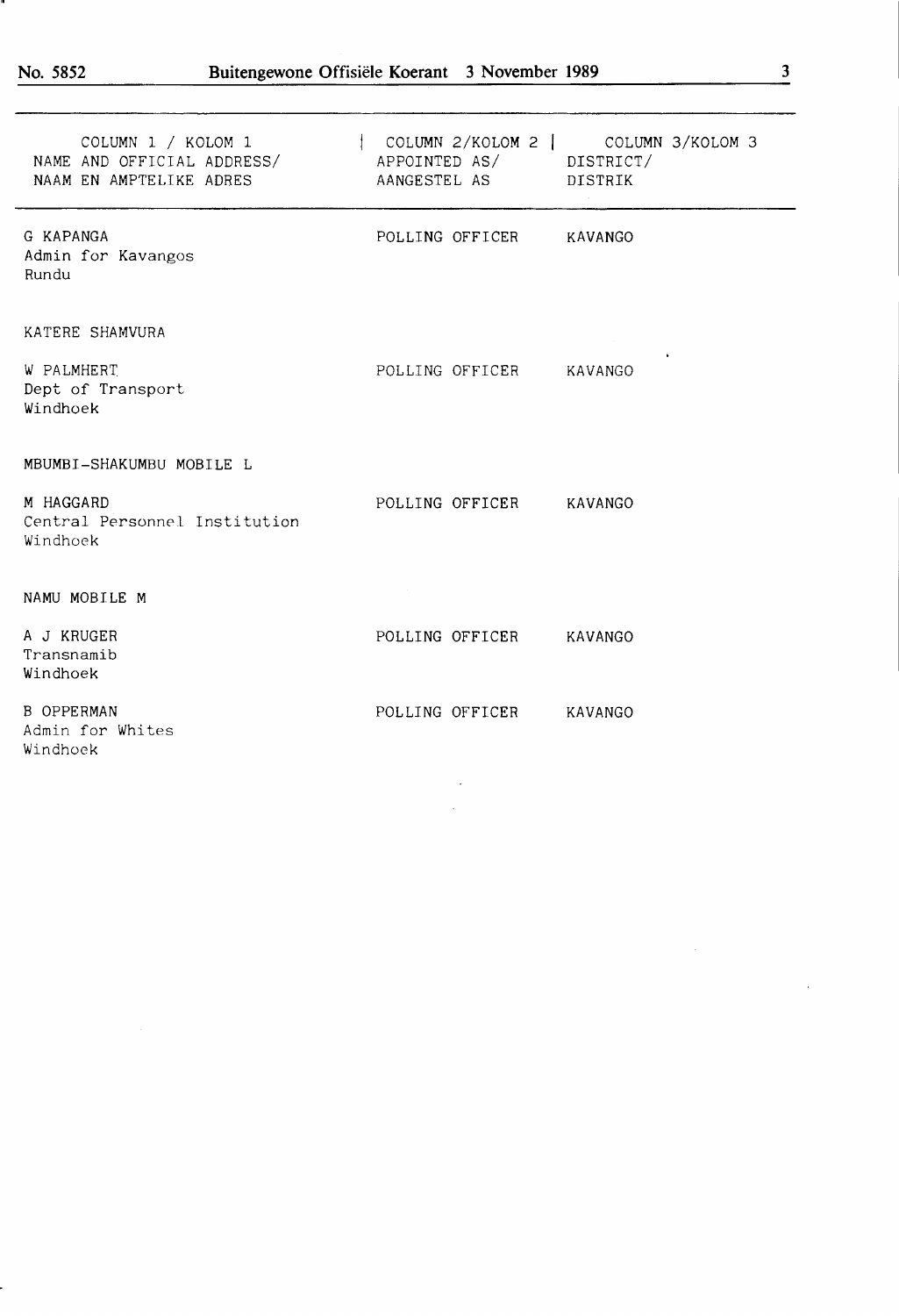ч.

| COLUMN 1 / KOLOM 1<br>NAME AND OFFICIAL ADDRESS/<br>NAAM EN AMPTELIKE ADRES | COLUMN 2/KOLOM 2   COLUMN 3/KOLOM 3<br>APPOINTED AS/ DISTRICT/<br>AANGESTEL AS DISTRIK |   |
|-----------------------------------------------------------------------------|----------------------------------------------------------------------------------------|---|
| G KAPANGA<br>Admin for Kavangos<br>Rundu                                    | POLLING OFFICER KAVANGO                                                                |   |
| KATERE SHAMVURA                                                             |                                                                                        |   |
| W PALMHERT<br>Dept of Transport<br>Windhoek                                 | POLLING OFFICER KAVANGO                                                                | ٠ |
| MBUMBI-SHAKUMBU MOBILE L                                                    |                                                                                        |   |
| M HAGGARD<br>Central Personnel Institution<br>Windhoek                      | POLLING OFFICER KAVANGO                                                                |   |
| NAMU MOBILE M                                                               |                                                                                        |   |
| A J KRUGER<br>Transnamib<br>Windhoek                                        | POLLING OFFICER KAVANGO                                                                |   |
| <b>B OPPERMAN</b><br>Admin for Whites<br>Windhoek                           | POLLING OFFICER KAVANGO                                                                |   |
|                                                                             |                                                                                        |   |

 $\hat{\mathcal{A}}$ 

 $\ddot{\phantom{0}}$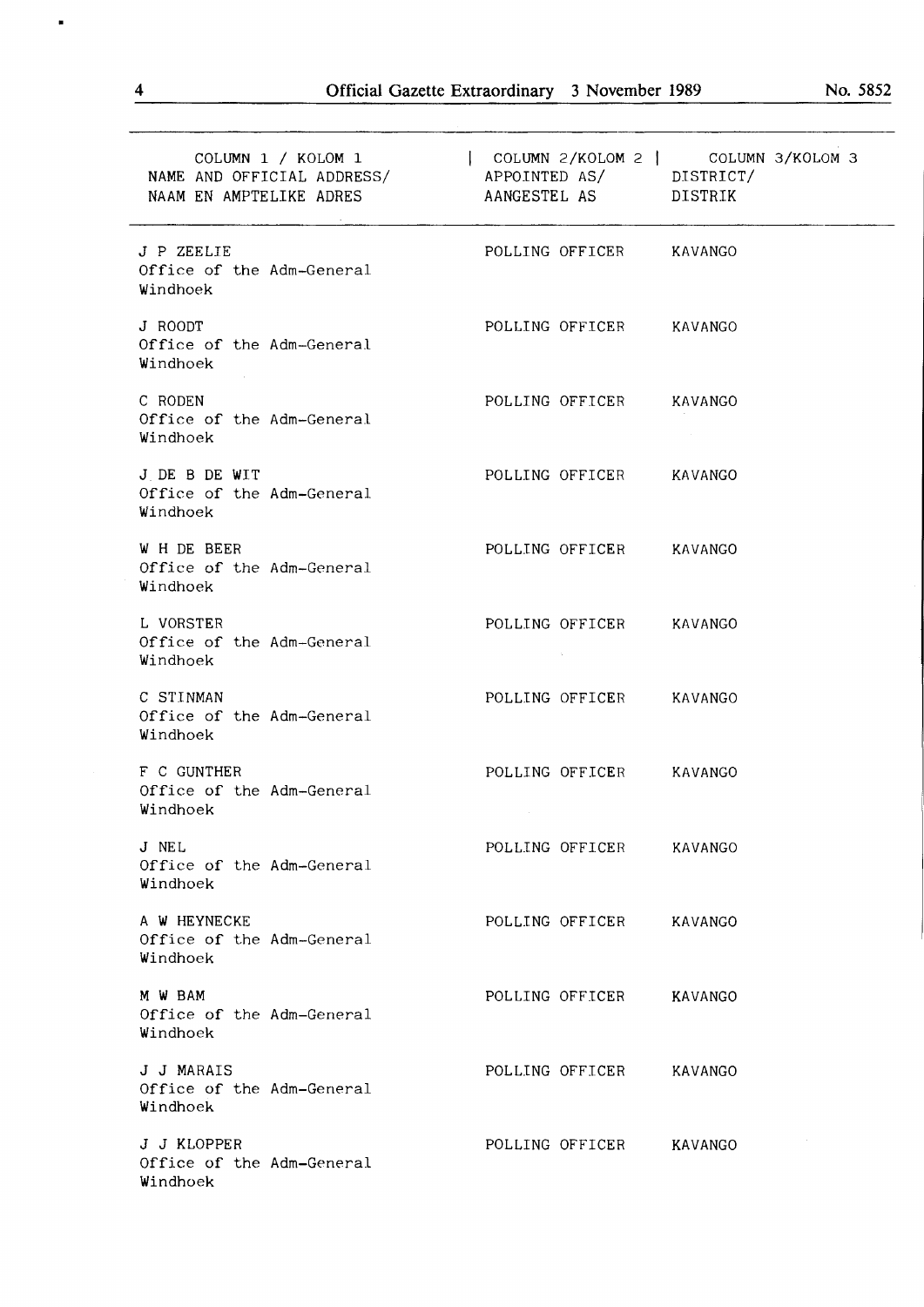| COLUMN 1 / KOLOM 1<br>NAME AND OFFICIAL ADDRESS/ APPOINTED AS/ DISTRICT/<br>NAAM EN AMPTELIKE ADRES | AANGESTEL AS DISTRIK    | COLUMN 2/KOLOM 2   COLUMN 3/KOLOM 3 |
|-----------------------------------------------------------------------------------------------------|-------------------------|-------------------------------------|
| J P ZEELIE<br>Office of the Adm-General<br>Windhoek                                                 | POLLING OFFICER KAVANGO |                                     |
| J ROODT<br>Office of the Adm-General<br>Windhoek                                                    | POLLING OFFICER KAVANGO |                                     |
| C RODEN<br>Office of the Adm-General<br>Windhoek                                                    | POLLING OFFICER         | KAVANGO                             |
| J DE B DE WIT<br>Office of the Adm-General<br>Windhoek                                              | POLLING OFFICER KAVANGO |                                     |
| W H DE BEER<br>Office of the Adm-General<br>Windhoek                                                | POLLING OFFICER KAVANGO |                                     |
| L VORSTER<br>Office of the Adm-General<br>Windhoek                                                  | POLLING OFFICER KAVANGO |                                     |
| C STINMAN<br>Office of the Adm-General<br>Windhoek                                                  | POLLING OFFICER         | KAVANGO                             |
| F C GUNTHER<br>Office of the Adm-General<br>Windhoek                                                | POLLING OFFICER         | KAVANGO                             |
| J NEL<br>Office of the Adm-General<br>Windhoek                                                      | POLLING OFFICER         | KAVANGO                             |
| A W HEYNECKE<br>Office of the Adm-General<br>Windhoek                                               | POLLING OFFICER KAVANGO |                                     |
| M W BAM<br>Office of the Adm-General<br>Windhoek                                                    | POLLING OFFICER KAVANGO |                                     |
| J J MARAIS<br>Office of the Adm-General<br>Windhoek                                                 | POLLING OFFICER         | KAVANGO                             |
| J J KLOPPER<br>Office of the Adm-General<br>Windhoek                                                | POLLING OFFICER         | KAVANGO                             |

 $\blacksquare$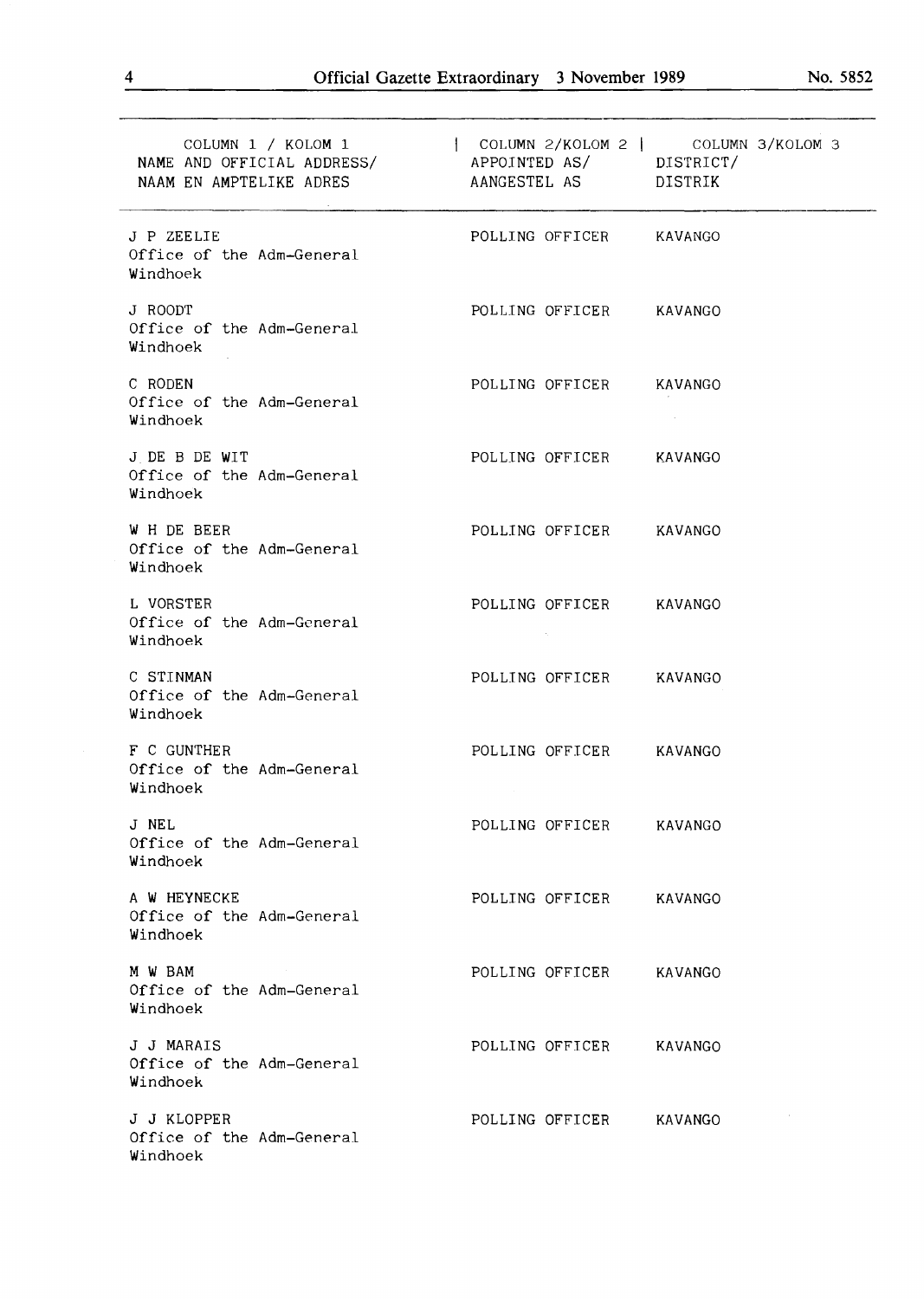| COLUMN 1 / KOLOM 1<br>NAAM EN AMPTELIKE ADRES          | COLUMN 2/KOLOM 2   COLUMN 3/KOLOM 3<br>NAME AND OFFICIAL ADDRESS/ APPOINTED AS/ DISTRICT/<br>AANGESTEL AS DISTRIK |
|--------------------------------------------------------|-------------------------------------------------------------------------------------------------------------------|
| J P ZEELIE<br>Office of the Adm-General<br>Windhoek    | POLLING OFFICER KAVANGO                                                                                           |
| J ROODT<br>Office of the Adm-General<br>Windhoek       | POLLING OFFICER KAVANGO                                                                                           |
| C RODEN<br>Office of the Adm-General<br>Windhoek       | POLLING OFFICER<br>KAVANGO                                                                                        |
| J DE B DE WIT<br>Office of the Adm-General<br>Windhoek | POLLING OFFICER KAVANGO                                                                                           |
| W H DE BEER<br>Office of the Adm-General<br>Windhoek   | POLLING OFFICER KAVANGO                                                                                           |
| L VORSTER<br>Office of the Adm-General<br>Windhoek     | POLLING OFFICER KAVANGO                                                                                           |
| C STINMAN<br>Office of the Adm-General<br>Windhoek     | POLLING OFFICER<br>KAVANGO                                                                                        |
| F C GUNTHER<br>Office of the Adm-General<br>Windhoek   | POLLING OFFICER<br>KAVANGO                                                                                        |
| J NEL<br>Office of the Adm-General<br>Windhoek         | POLLING OFFICER<br>KAVANGO                                                                                        |
| A W HEYNECKE<br>Office of the Adm-General<br>Windhoek  | POLLING OFFICER<br>KAVANGO                                                                                        |
| M W BAM<br>Office of the Adm-General<br>Windhoek       | POLLING OFFICER<br>KAVANGO                                                                                        |
| J J MARAIS<br>Office of the Adm-General<br>Windhoek    | POLLING OFFICER<br>KAVANGO                                                                                        |
| J J KLOPPER<br>Office of the Adm-General<br>Windhoek   | POLLING OFFICER<br>KAVANGO                                                                                        |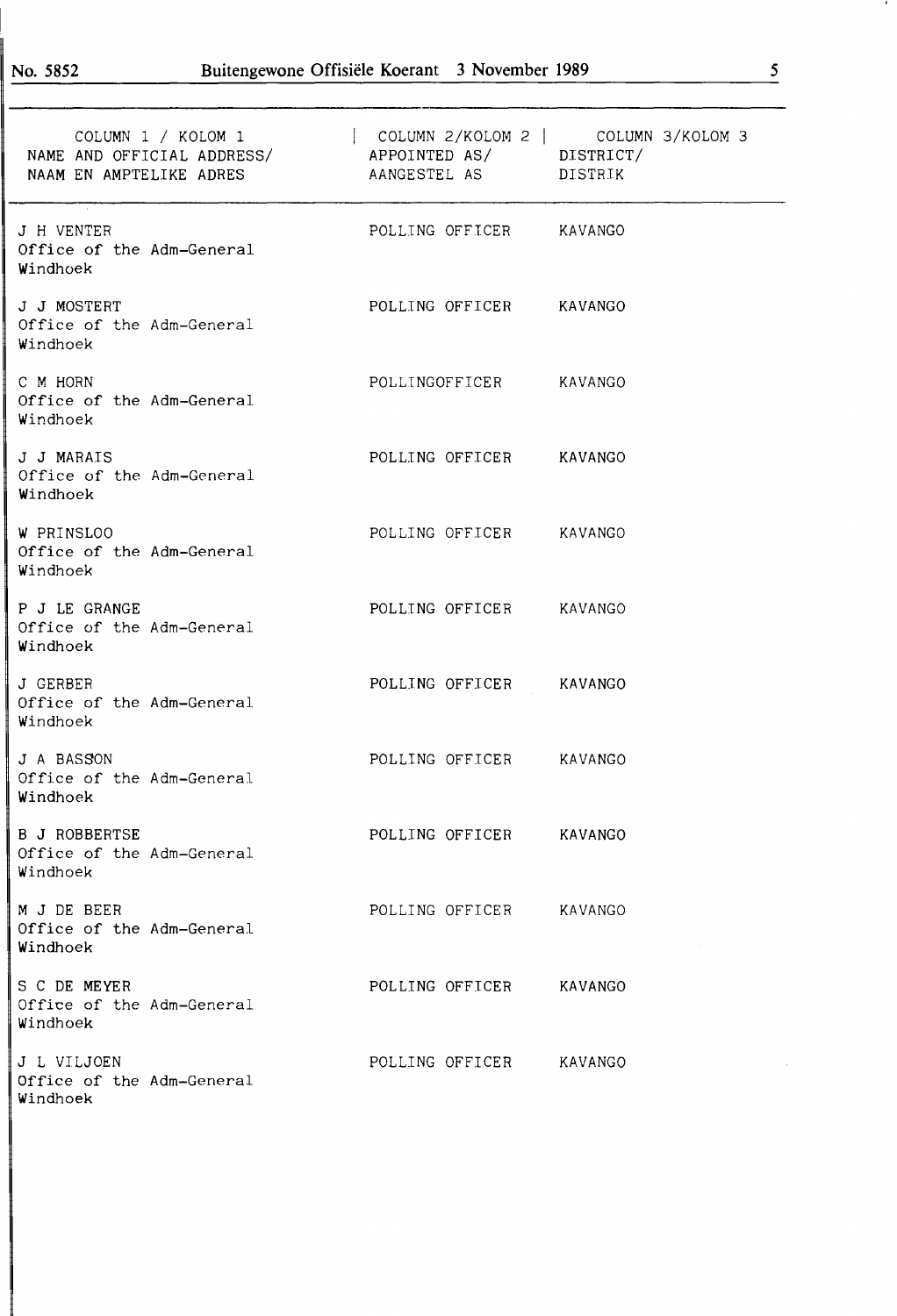| COLUMN 1 / KOLOM 1<br>NAME AND OFFICIAL ADDRESS/ APPOINTED AS/ DISTRICT/<br>NAAM EN AMPTELIKE ADRES | AANGESTEL AS DISTRIK    | COLUMN 2/KOLOM 2   COLUMN 3/KOLOM 3 |
|-----------------------------------------------------------------------------------------------------|-------------------------|-------------------------------------|
| J H VENTER<br>Office of the Adm-General<br>Windhoek                                                 | POLLING OFFICER KAVANGO |                                     |
| J J MOSTERT<br>Office of the Adm-General<br>Windhoek                                                | POLLING OFFICER KAVANGO |                                     |
| C M HORN<br>Office of the Adm-General<br>Windhoek                                                   | POLLINGOFFICER KAVANGO  |                                     |
| J J MARAIS<br>Office of the Adm-General<br>Windhoek                                                 | POLLING OFFICER KAVANGO |                                     |
| W PRINSLOO<br>Office of the Adm-General<br>Windhoek                                                 | POLLING OFFICER KAVANGO |                                     |
| P J LE GRANGE<br>Office of the Adm-General<br>Windhoek                                              | POLLING OFFICER KAVANGO |                                     |
| J GERBER<br>Office of the Adm-General<br>Windhoek                                                   | POLLING OFFICER KAVANGO |                                     |
| J A BASSON<br>Office of the Adm-General<br>Windhoek                                                 | POLLING OFFICER KAVANGO |                                     |
| <b>B J ROBBERTSE</b><br>Office of the Adm-General<br>Windhoek                                       | POLLING OFFICER KAVANGO |                                     |
| M J DE BEER<br>Office of the Adm-General<br>Windhoek                                                | POLLING OFFICER KAVANGO |                                     |
| S C DE MEYER<br>Office of the Adm-General<br>Windhoek                                               | POLLING OFFICER KAVANGO |                                     |
| J L VILJOEN<br>Office of the Adm-General<br>Windhoek                                                | POLLING OFFICER KAVANGO |                                     |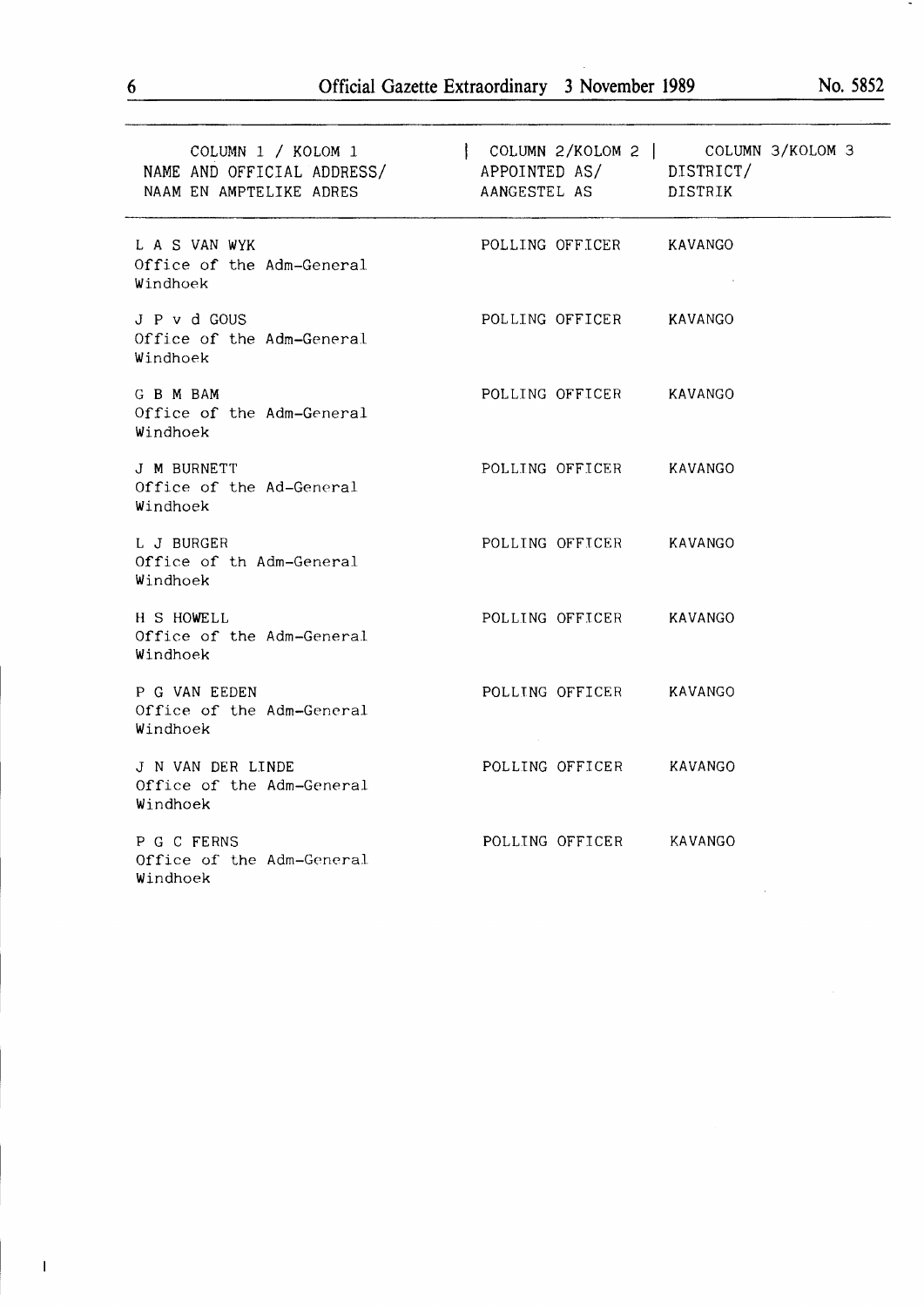| COLUMN 1 / KOLOM 1<br>NAME AND OFFICIAL ADDRESS/ APPOINTED AS/ DISTRICT/<br>NAAM EN AMPTELIKE ADRES | COLUMN 2/KOLOM 2   COLUMN 3/KOLOM 3<br>AANGESTEL AS DISTRIK |         |
|-----------------------------------------------------------------------------------------------------|-------------------------------------------------------------|---------|
| L A S VAN WYK<br>Office of the Adm-General<br>Windhoek                                              | POLLING OFFICER KAVANGO                                     |         |
| J P v d GOUS<br>Office of the Adm-General<br>Windhoek                                               | POLLING OFFICER KAVANGO                                     |         |
| G B M BAM<br>Office of the Adm-General<br>Windhoek                                                  | POLLING OFFICER KAVANGO                                     |         |
| J M BURNETT<br>Office of the Ad-General<br>Windhoek                                                 | POLLING OFFICER KAVANGO                                     |         |
| L J BURGER<br>Office of th Adm-General<br>Windhoek                                                  | POLLING OFFICER KAVANGO                                     |         |
| H S HOWELL<br>Office of the Adm-General<br>Windhoek                                                 | POLLING OFFICER KAVANGO                                     |         |
| P G VAN EEDEN<br>Office of the Adm-General<br>Windhoek                                              | POLLING OFFICER KAVANGO                                     |         |
| J N VAN DER LINDE<br>Office of the Adm-General<br>Windhoek                                          | POLLING OFFICER KAVANGO                                     |         |
| P G C FERNS<br>Office of the Adm-General<br>Windhoek                                                | POLLING OFFICER                                             | KAVANGO |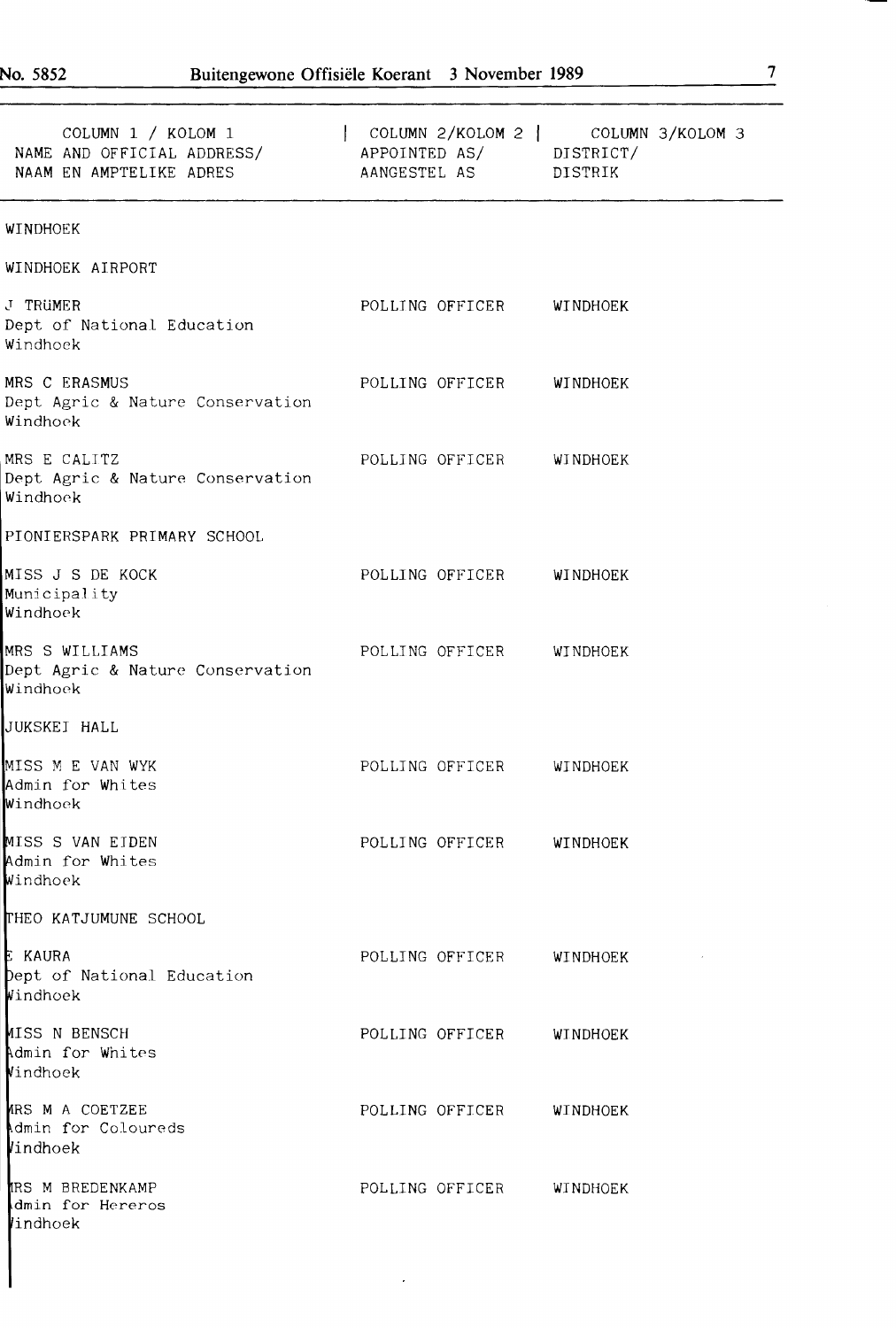| COLUMN 1 / KOLOM 1<br>NAME AND OFFICIAL ADDRESS/ APPOINTED AS/ DISTRICT/<br>NAAM EN AMPTELIKE ADRES | COLUMN $2/KOLOM 2$   COLUMN $3/KOLOM 3$<br>AANGESTEL AS DISTRIK |  |
|-----------------------------------------------------------------------------------------------------|-----------------------------------------------------------------|--|
| WINDHOEK                                                                                            |                                                                 |  |
| WINDHOEK AIRPORT                                                                                    |                                                                 |  |
| J TRUMER<br>Dept of National Education<br>Windhoek                                                  | POLLING OFFICER WINDHOEK                                        |  |
| MRS C ERASMUS<br>Dept Agric & Nature Conservation<br>Windhoek                                       | POLLING OFFICER WINDHOEK                                        |  |
| MRS E CALITZ<br>Dept Agric & Nature Conservation<br>Windhoek                                        | POLLING OFFICER WINDHOEK                                        |  |
| PIONIERSPARK PRIMARY SCHOOL                                                                         |                                                                 |  |
| MISS J S DE KOCK<br>Municipality<br>Windhoek                                                        | POLLING OFFICER WINDHOEK                                        |  |
| MRS S WILLIAMS<br>Dept Agric & Nature Conservation<br>Windhoek                                      | POLLING OFFICER WINDHOEK                                        |  |
| JUKSKEI HALL                                                                                        |                                                                 |  |
| MISS M E VAN WYK<br>Admin for Whites<br>Windhoek                                                    | POLLING OFFICER WINDHOEK                                        |  |
| MISS S VAN EIDEN<br>Admin for Whites<br>Windhoek                                                    | POLLING OFFICER WINDHOEK                                        |  |
| THEO KATJUMUNE SCHOOL                                                                               |                                                                 |  |
| E KAURA<br>Dept of National Education<br>Windhoek                                                   | POLLING OFFICER WINDHOEK                                        |  |
| MISS N BENSCH<br>Admin for Whites<br>Vindhoek                                                       | POLLING OFFICER WINDHOEK                                        |  |
| ARS M A COETZEE<br>Admin for Coloureds<br>Vindhoek                                                  | POLLING OFFICER WINDHOEK                                        |  |
| IRS M BREDENKAMP<br>dmin for Hereros<br>lindhoek                                                    | POLLING OFFICER WINDHOEK                                        |  |

 $\ddot{\phantom{0}}$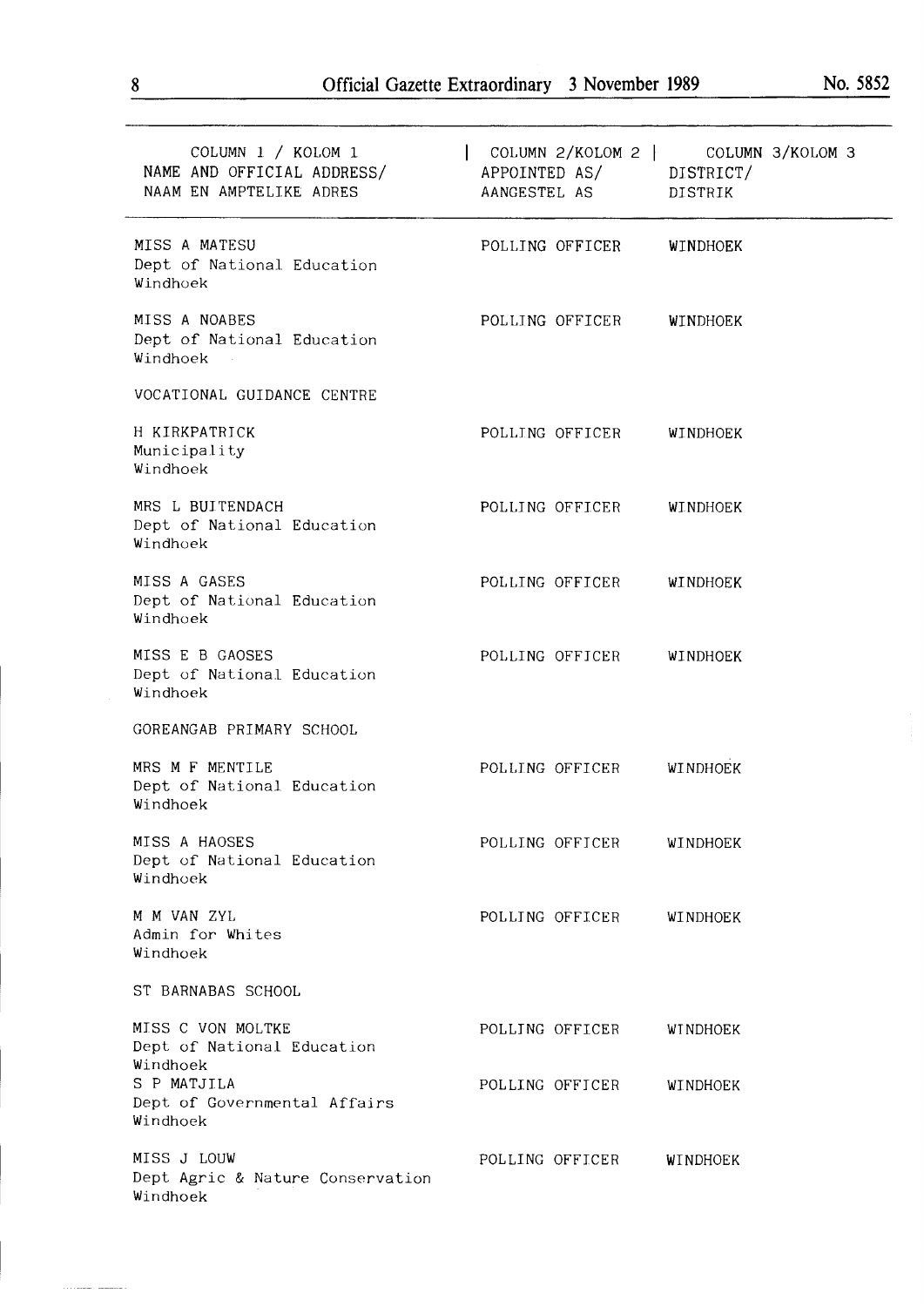| COLUMN 1 / KOLOM 1<br>NAME AND OFFICIAL ADDRESS/<br>NAAM EN AMPTELIKE ADRES | APPOINTED AS/ DISTRICT/<br>AANGESTEL AS | COLUMN 2/KOLOM 2   COLUMN 3/KOLOM 3<br>DISTRIK |
|-----------------------------------------------------------------------------|-----------------------------------------|------------------------------------------------|
| MISS A MATESU<br>Dept of National Education<br>Windhoek                     | POLLING OFFICER                         | WINDHOEK                                       |
| MISS A NOABES<br>Dept of National Education<br>Windhoek                     | POLLING OFFICER                         | WINDHOEK                                       |
| VOCATIONAL GUIDANCE CENTRE                                                  |                                         |                                                |
| H KIRKPATRICK<br>Municipality<br>Windhoek                                   | POLLING OFFICER                         | WINDHOEK                                       |
| MRS L BUITENDACH<br>Dept of National Education<br>Windhoek                  | POLLING OFFICER                         | <b>WINDHOEK</b>                                |
| MISS A GASES<br>Dept of National Education<br>Windhoek                      | POLLING OFFICER                         | WINDHOEK                                       |
| MISS E B GAOSES<br>Dept of National Education<br>Windhoek                   | POLLING OFFICER                         | WINDHOEK                                       |
| GOREANGAB PRIMARY SCHOOL                                                    |                                         |                                                |
| MRS M F MENTILE<br>Dept of National Education<br>Windhoek                   | POLLING OFFICER                         | <b>WINDHOEK</b>                                |
| MISS A HAOSES<br>Dept of National Education<br>Windhoek                     | POLLING OFFICER                         | WINDHOEK                                       |
| M M VAN ZYL<br>Admin for Whites<br>Windhoek                                 | POLLING OFFICER                         | WINDHOEK                                       |
| ST BARNABAS SCHOOL                                                          |                                         |                                                |
| MISS C VON MOLTKE<br>Dept of National Education<br>Windhoek                 | POLLING OFFICER                         | <b>WINDHOEK</b>                                |
| S P MATJILA<br>Dept of Governmental Affairs<br>Windhoek                     | POLLING OFFICER                         | WINDHOEK                                       |
| MISS J LOUW<br>Dept Agric & Nature Conservation<br>Windhoek                 | POLLING OFFICER                         | WINDHOEK                                       |

للمستعمل والمنادر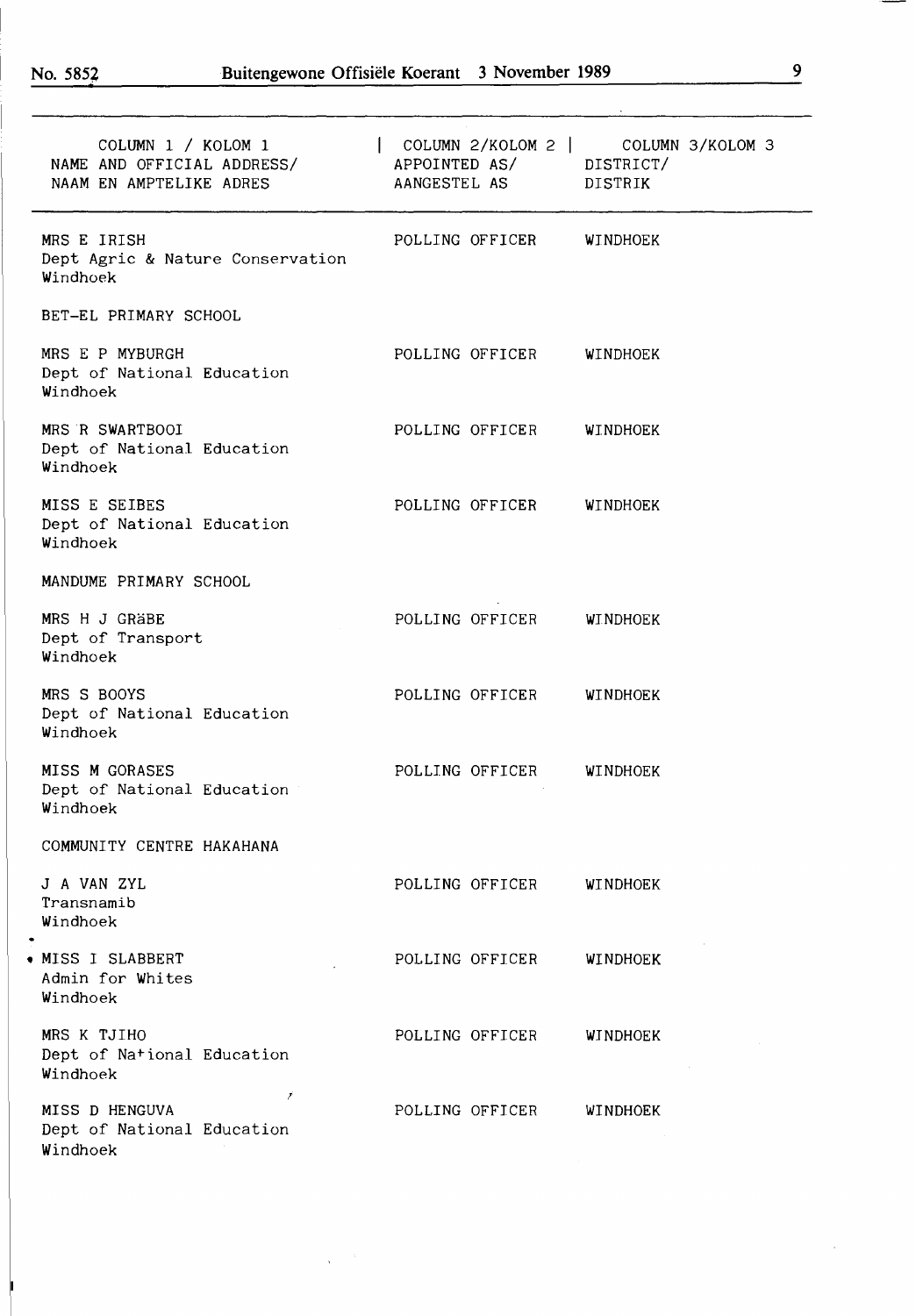J

| COLUMN 1 / KOLOM 1<br>NAME AND OFFICIAL ADDRESS/<br>NAAM EN AMPTELIKE ADRES | $\vert$ COLUMN 2/KOLOM 2 $\vert$ COLUMN 3/KOLOM 3<br>APPOINTED AS/ DISTRICT/<br>AANGESTEL AS DISTRIK |
|-----------------------------------------------------------------------------|------------------------------------------------------------------------------------------------------|
| MRS E IRISH<br>Dept Agric & Nature Conservation<br>Windhoek                 | POLLING OFFICER<br>WINDHOEK                                                                          |
| BET-EL PRIMARY SCHOOL                                                       |                                                                                                      |
| MRS E P MYBURGH<br>Dept of National Education<br>Windhoek                   | POLLING OFFICER<br>WINDHOEK                                                                          |
| MRS R SWARTBOOI<br>Dept of National Education<br>Windhoek                   | POLLING OFFICER<br>WINDHOEK                                                                          |
| MISS E SEIBES<br>Dept of National Education<br>Windhoek                     | POLLING OFFICER<br><b>WINDHOEK</b>                                                                   |
| MANDUME PRIMARY SCHOOL                                                      |                                                                                                      |
| MRS H J GRÄBE<br>Dept of Transport<br>Windhoek                              | POLLING OFFICER<br><b>WINDHOEK</b>                                                                   |
| MRS S BOOYS<br>Dept of National Education<br>Windhoek                       | POLLING OFFICER<br>WINDHOEK                                                                          |
| MISS M GORASES<br>Dept of National Education<br>Windhoek                    | POLLING OFFICER<br>WINDHOEK                                                                          |
| COMMUNITY CENTRE HAKAHANA                                                   |                                                                                                      |
| J A VAN ZYL<br>Transnamib<br>Windhoek                                       | POLLING OFFICER<br>WINDHOEK                                                                          |
| • MISS I SLABBERT<br>Admin for Whites<br>Windhoek                           | POLLING OFFICER<br>WINDHOEK                                                                          |
| MRS K TJIHO<br>Dept of National Education<br>Windhoek                       | POLLING OFFICER<br>WINDHOEK                                                                          |
| ŕ<br>MISS D HENGUVA<br>Dept of National Education<br>Windhoek               | POLLING OFFICER<br>WINDHOEK                                                                          |

 $\hat{\lambda}$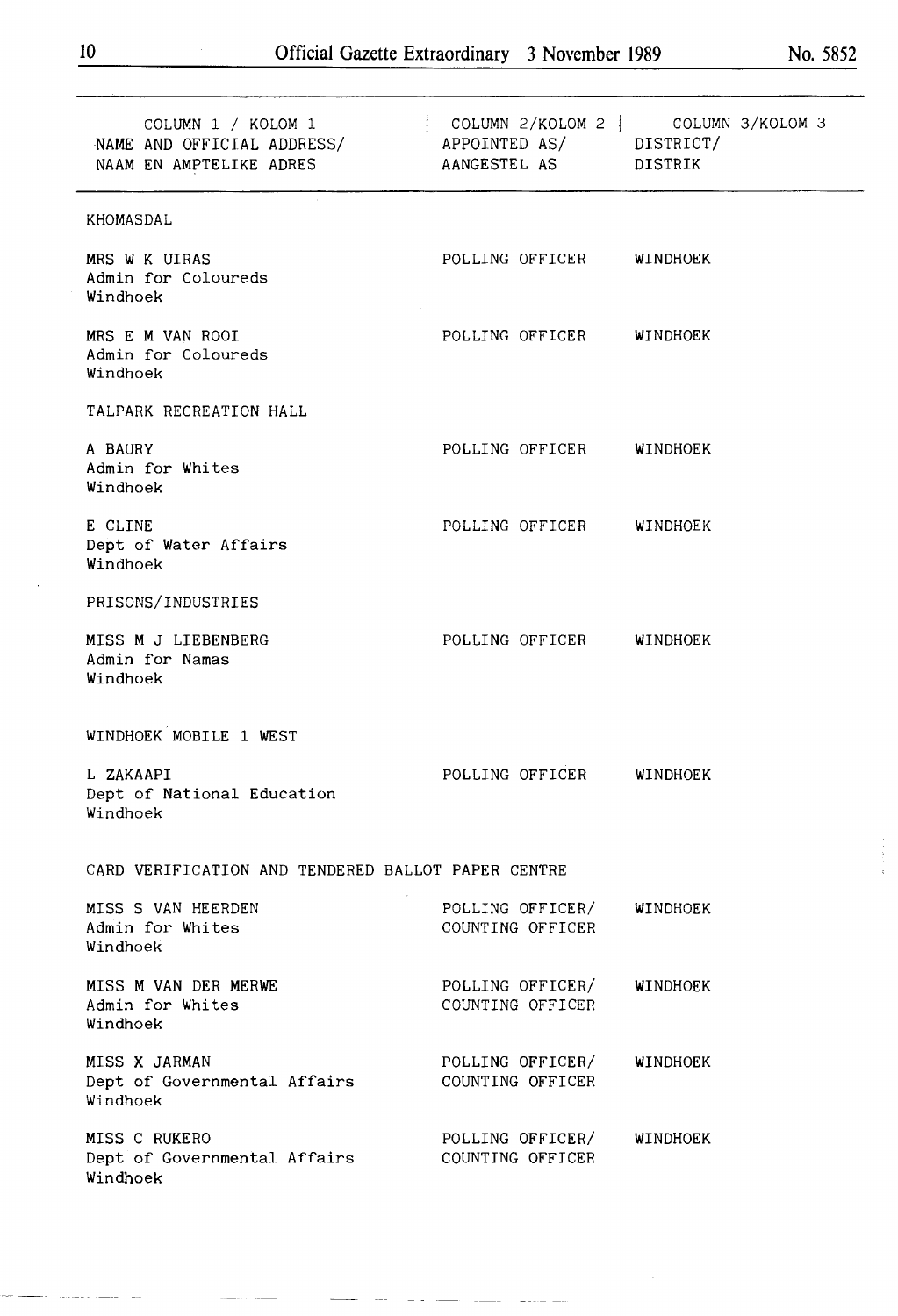| COLUMN 1 / KOLOM 1<br>NAME AND OFFICIAL ADDRESS/<br>NAAM EN AMPTELIKE ADRES | APPOINTED AS/ DISTRICT/<br>AANGESTEL AS DISTRIK | COLUMN 2/KOLOM 2 COLUMN 3/KOLOM 3 |  |  |  |
|-----------------------------------------------------------------------------|-------------------------------------------------|-----------------------------------|--|--|--|
| KHOMASDAL                                                                   |                                                 |                                   |  |  |  |
| MRS W K UIRAS<br>Admin for Coloureds<br>Windhoek                            | POLLING OFFICER WINDHOEK                        |                                   |  |  |  |
| MRS E M VAN ROOI<br>Admin for Coloureds<br>Windhoek                         | POLLING OFFICER WINDHOEK                        |                                   |  |  |  |
| TALPARK RECREATION HALL                                                     |                                                 |                                   |  |  |  |
| A BAURY<br>Admin for Whites<br>Windhoek                                     | POLLING OFFICER WINDHOEK                        |                                   |  |  |  |
| E CLINE<br>Dept of Water Affairs<br>Windhoek                                | POLLING OFFICER WINDHOEK                        |                                   |  |  |  |
| PRISONS/INDUSTRIES                                                          |                                                 |                                   |  |  |  |
| MISS M J LIEBENBERG<br>Admin for Namas<br>Windhoek                          | POLLING OFFICER WINDHOEK                        |                                   |  |  |  |
| WINDHOEK MOBILE 1 WEST                                                      |                                                 |                                   |  |  |  |
| L ZAKAAPI<br>Dept of National Education<br>Windhoek                         | POLLING OFFICER WINDHOEK                        |                                   |  |  |  |
| CARD VERIFICATION AND TENDERED BALLOT PAPER CENTRE                          |                                                 |                                   |  |  |  |
| MISS S VAN HEERDEN<br>Admin for Whites<br>Windhoek                          | POLLING OFFICER/<br>COUNTING OFFICER            | WINDHOEK                          |  |  |  |
| MISS M VAN DER MERWE<br>Admin for Whites<br>Windhoek                        | POLLING OFFICER/<br>COUNTING OFFICER            | <b>WINDHOEK</b>                   |  |  |  |
| MISS X JARMAN<br>Dept of Governmental Affairs<br>Windhoek                   | POLLING OFFICER/<br>COUNTING OFFICER            | WINDHOEK                          |  |  |  |
| MISS C RUKERO<br>Dept of Governmental Affairs<br>Windhoek                   | POLLING OFFICER/<br>COUNTING OFFICER            | WINDHOEK                          |  |  |  |

 $\bar{\bar{\psi}}$  $\frac{1}{2}$   $\frac{1}{2}$ 

 $\frac{1}{2} \left( \frac{1}{2} \right) \left( \frac{1}{2} \right)$ 

÷.

 $\frac{1}{2} \frac{1}{2} \frac{1}{2} \frac{1}{2} \frac{1}{2} \frac{1}{2} \frac{1}{2} \frac{1}{2} \frac{1}{2} \frac{1}{2} \frac{1}{2} \frac{1}{2} \frac{1}{2} \frac{1}{2} \frac{1}{2} \frac{1}{2} \frac{1}{2} \frac{1}{2} \frac{1}{2} \frac{1}{2} \frac{1}{2} \frac{1}{2} \frac{1}{2} \frac{1}{2} \frac{1}{2} \frac{1}{2} \frac{1}{2} \frac{1}{2} \frac{1}{2} \frac{1}{2} \frac{1}{2} \frac{$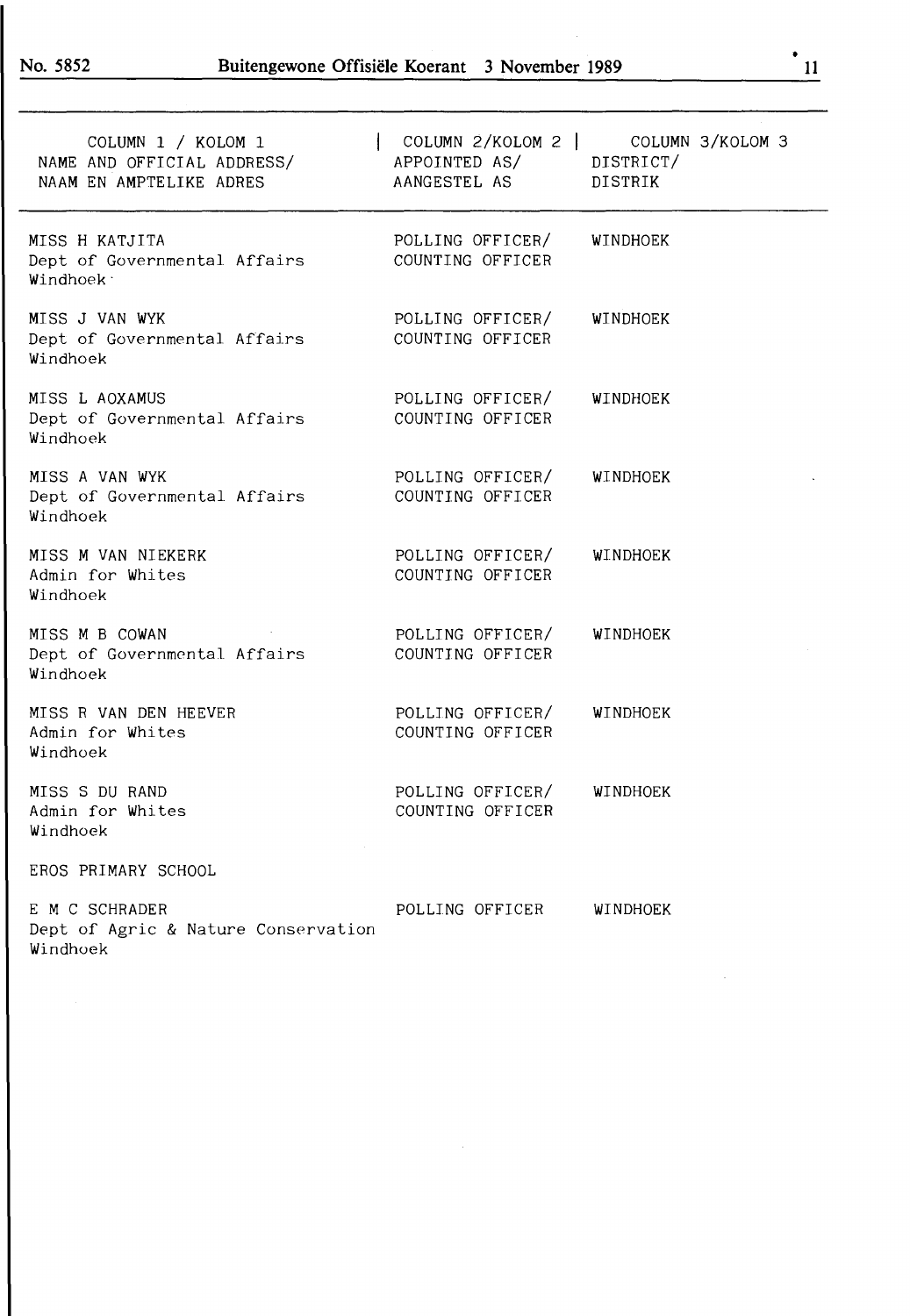| COLUMN 1 / KOLOM 1<br>NAME AND OFFICIAL ADDRESS/<br>NAAM EN AMPTELIKE ADRES | APPOINTED AS/ DISTRICT/<br>AANGESTEL AS | COLUMN 2/KOLOM 2   COLUMN 3/KOLOM 3<br>DISTRIK |
|-----------------------------------------------------------------------------|-----------------------------------------|------------------------------------------------|
| MISS H KATJITA<br>Dept of Governmental Affairs<br>Windhoek <sup>-</sup>     | POLLING OFFICER/<br>COUNTING OFFICER    | WINDHOEK                                       |
| MISS J VAN WYK<br>Dept of Governmental Affairs<br>Windhoek                  | POLLING OFFICER/<br>COUNTING OFFICER    | WINDHOEK                                       |
| MISS L AOXAMUS<br>Dept of Governmental Affairs<br>Windhoek                  | POLLING OFFICER/<br>COUNTING OFFICER    | WINDHOEK                                       |
| MISS A VAN WYK<br>Dept of Governmental Affairs<br>Windhoek                  | POLLING OFFICER/<br>COUNTING OFFICER    | WINDHOEK                                       |
| MISS M VAN NIEKERK<br>Admin for Whites<br>Windhoek                          | POLLING OFFICER/<br>COUNTING OFFICER    | WINDHOEK                                       |
| MISS M B COWAN<br>Dept of Governmental Affairs<br>Windhoek                  | POLLING OFFICER/<br>COUNTING OFFICER    | WINDHOEK                                       |
| MISS R VAN DEN HEEVER<br>Admin for Whites<br>Windhoek                       | POLLING OFFICER/<br>COUNTING OFFICER    | WINDHOEK                                       |
| MISS S DU RAND<br>Admin for Whites<br>Windhoek                              | POLLING OFFICER/<br>COUNTING OFFICER    | WINDHOEK                                       |
| EROS PRIMARY SCHOOL                                                         |                                         |                                                |
| E M C SCHRADER<br>Dept of Agric & Nature Conservation<br>Windhoek           | POLLING OFFICER                         | <b>WINDHOEK</b>                                |

 $\bar{\bar{z}}$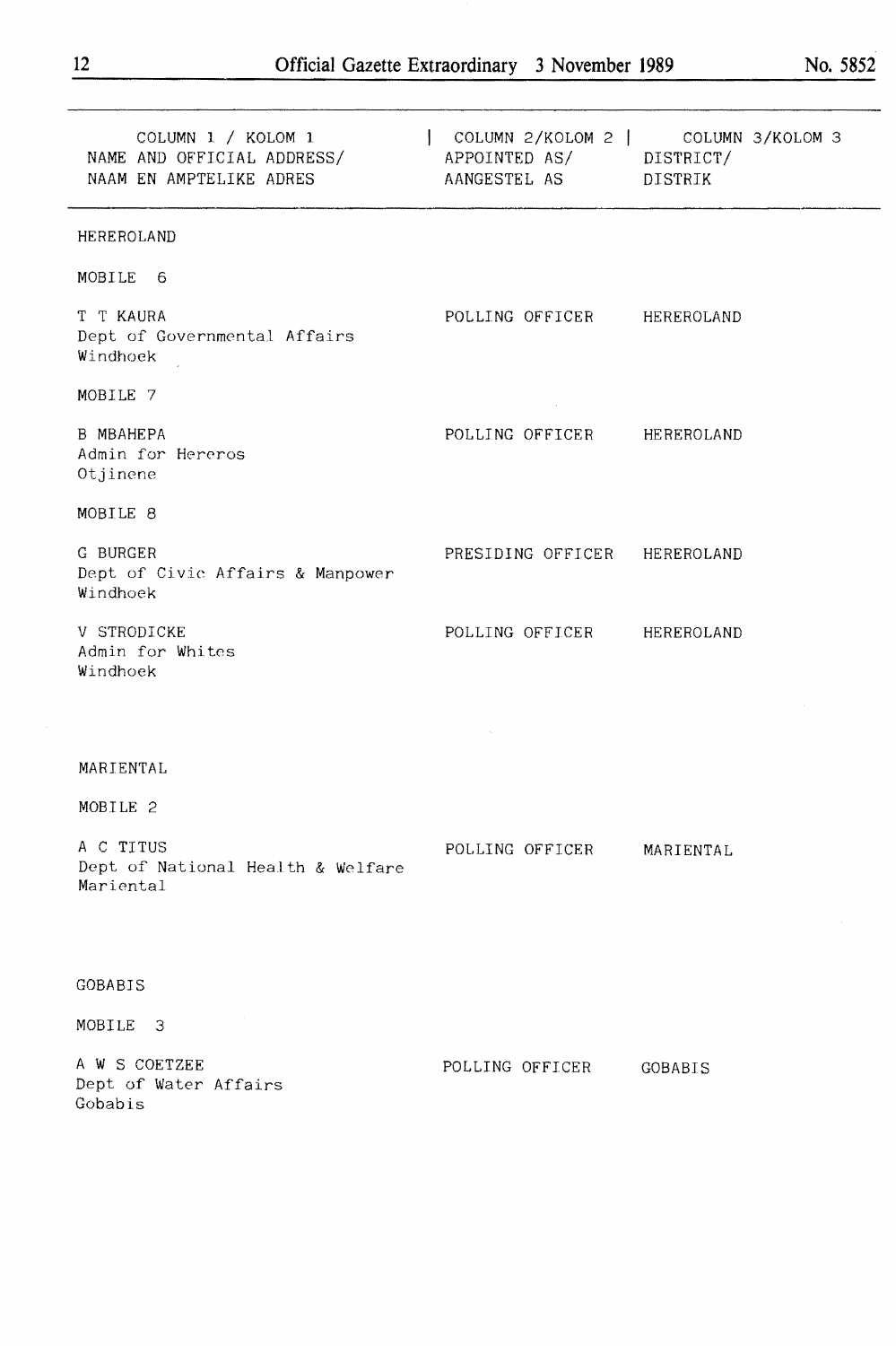| COLUMN 1 / KOLOM 1<br>NAME AND OFFICIAL ADDRESS/<br>NAME AND OFFICIAL ADDRESS/<br>NAAM EN AMPTELIKE ADRES<br>AANGESTEL AS DISTRIK |                              | COLUMN 2/KOLOM 2   COLUMN 3/KOLOM 3 |
|-----------------------------------------------------------------------------------------------------------------------------------|------------------------------|-------------------------------------|
| HEREROLAND                                                                                                                        |                              |                                     |
| MOBILE 6                                                                                                                          |                              |                                     |
| T T KAURA<br>Dept of Governmental Affairs<br>Windhoek                                                                             | POLLING OFFICER HEREROLAND   |                                     |
| MOBILE 7                                                                                                                          | $\sim 100$ km s              |                                     |
| <b>B MBAHEPA</b><br>Admin for Hereros<br>Otjinene                                                                                 | POLLING OFFICER HEREROLAND   |                                     |
| MOBILE 8                                                                                                                          |                              |                                     |
| G BURGER<br>Dept of Civic Affairs & Manpower<br>Windhoek                                                                          | PRESIDING OFFICER HEREROLAND |                                     |
| V STRODICKE<br>Admin for Whites<br>Windhoek                                                                                       | POLLING OFFICER HEREROLAND   |                                     |
|                                                                                                                                   |                              |                                     |
| MARIENTAL                                                                                                                         |                              |                                     |
| MOBILE 2                                                                                                                          |                              |                                     |
| A C TITUS<br>Dept of National Health & Welfare<br>Mariental                                                                       | POLLING OFFICER              | MARIENTAL                           |
|                                                                                                                                   |                              |                                     |
| <b>GOBABIS</b>                                                                                                                    |                              |                                     |
| MOBILE<br>-3                                                                                                                      |                              |                                     |
| A W S COETZEE<br>Dept of Water Affairs<br>Gobabis                                                                                 | POLLING OFFICER              | <b>GOBABIS</b>                      |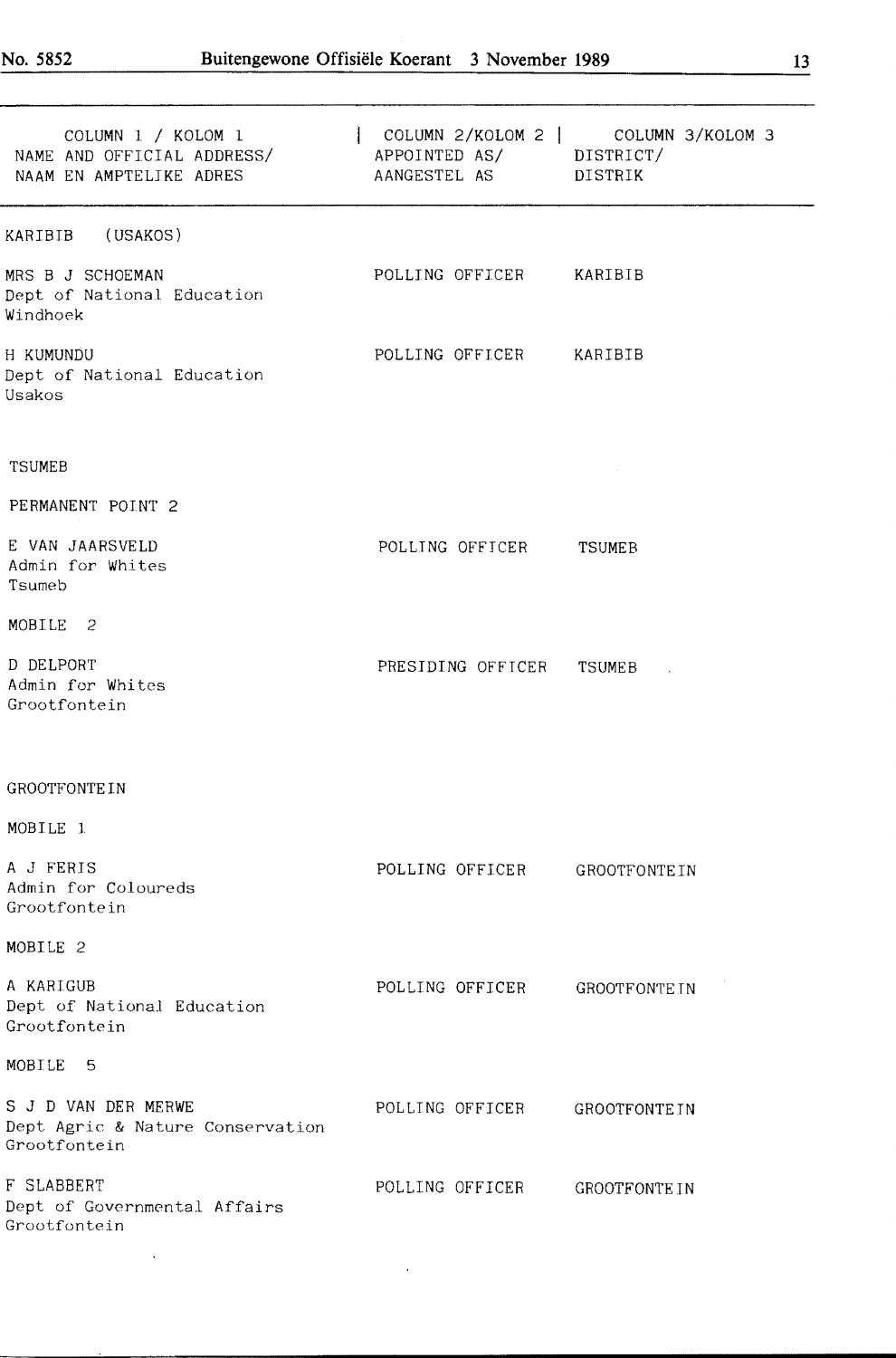$\hat{\mathcal{A}}$ 

| COLUMN 1 / KOLOM 1<br>NAME AND OFFICIAL ADDRESS/<br>NAAM EN AMPTELIKE ADRES | APPOINTED AS/ DISTRICT/<br>AANGESTEL AS DISTRIK | COLUMN 2/KOLOM 2 COLUMN 3/KOLOM 3 |
|-----------------------------------------------------------------------------|-------------------------------------------------|-----------------------------------|
| (USAKOS)<br>KARIBIB                                                         |                                                 |                                   |
| MRS B J SCHOEMAN<br>Dept of National Education<br>Windhoek                  | POLLING OFFICER KARIBIB                         |                                   |
| H KUMUNDU<br>Dept of National Education<br>Usakos                           | POLLING OFFICER KARIBIB                         |                                   |
| <b>TSUMEB</b>                                                               |                                                 |                                   |
| PERMANENT POINT 2                                                           |                                                 |                                   |
| E VAN JAARSVELD<br>Admin for Whites<br>Tsumeb                               | POLLING OFFICER                                 | TSUMEB                            |
| MOBILE 2                                                                    |                                                 |                                   |
| D DELPORT<br>Admin for Whites<br>Grootfontein                               | PRESIDING OFFICER                               | TSUMEB                            |
| <b>GROOTFONTEIN</b>                                                         |                                                 |                                   |
| MOBILE 1                                                                    |                                                 |                                   |
| A J FERIS<br>Admin for Coloureds<br>Grootfontein                            | POLLING OFFICER                                 | <b>GROOTFONTEIN</b>               |
| MOBILE 2                                                                    |                                                 |                                   |
| A KARIGUB<br>Dept of National Education<br>Grootfontein                     | POLLING OFFICER                                 | <b>GROOTFONTEIN</b>               |
| MOBILE<br>-5                                                                |                                                 |                                   |
| S J D VAN DER MERWE<br>Dept Agric & Nature Conservation<br>Grootfontein     | POLLING OFFICER                                 | <b>GROOTFONTEIN</b>               |
| F SLABBERT<br>Dept of Governmental Affairs<br>Grootfontein                  | POLLING OFFICER                                 | <b>GROOTFONTEIN</b>               |

 $\hat{\mathbf{r}}$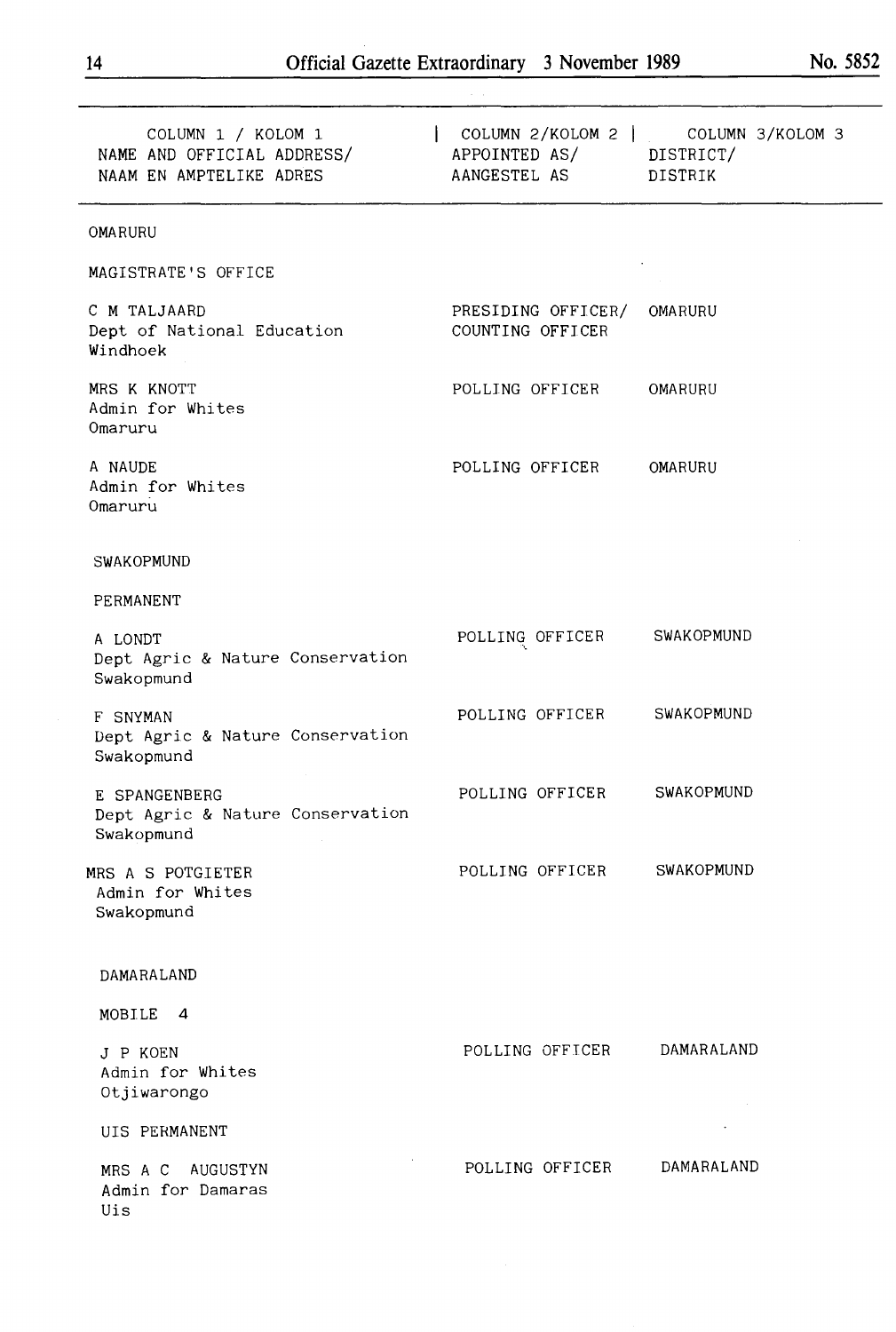| COLUMN 2/KOLOM 2   COLUMN 3/KOLOM 3<br>APPOINTED AS/ DISTRICT/<br>AANGESTEL AS DISTRIK |                   |
|----------------------------------------------------------------------------------------|-------------------|
|                                                                                        |                   |
|                                                                                        |                   |
| PRESIDING OFFICER/ OMARURU<br>COUNTING OFFICER                                         |                   |
| POLLING OFFICER                                                                        | OMARURU           |
| POLLING OFFICER                                                                        | OMARURU           |
|                                                                                        |                   |
|                                                                                        |                   |
| POLLING OFFICER SWAKOPMUND                                                             |                   |
| POLLING OFFICER                                                                        | SWAKOPMUND        |
| POLLING OFFICER SWAKOPMUND                                                             |                   |
| POLLING OFFICER                                                                        | <b>SWAKOPMUND</b> |
|                                                                                        |                   |
|                                                                                        |                   |
| POLLING OFFICER                                                                        | DAMARALAND        |
|                                                                                        |                   |
| POLLING OFFICER                                                                        | DAMARALAND        |
|                                                                                        |                   |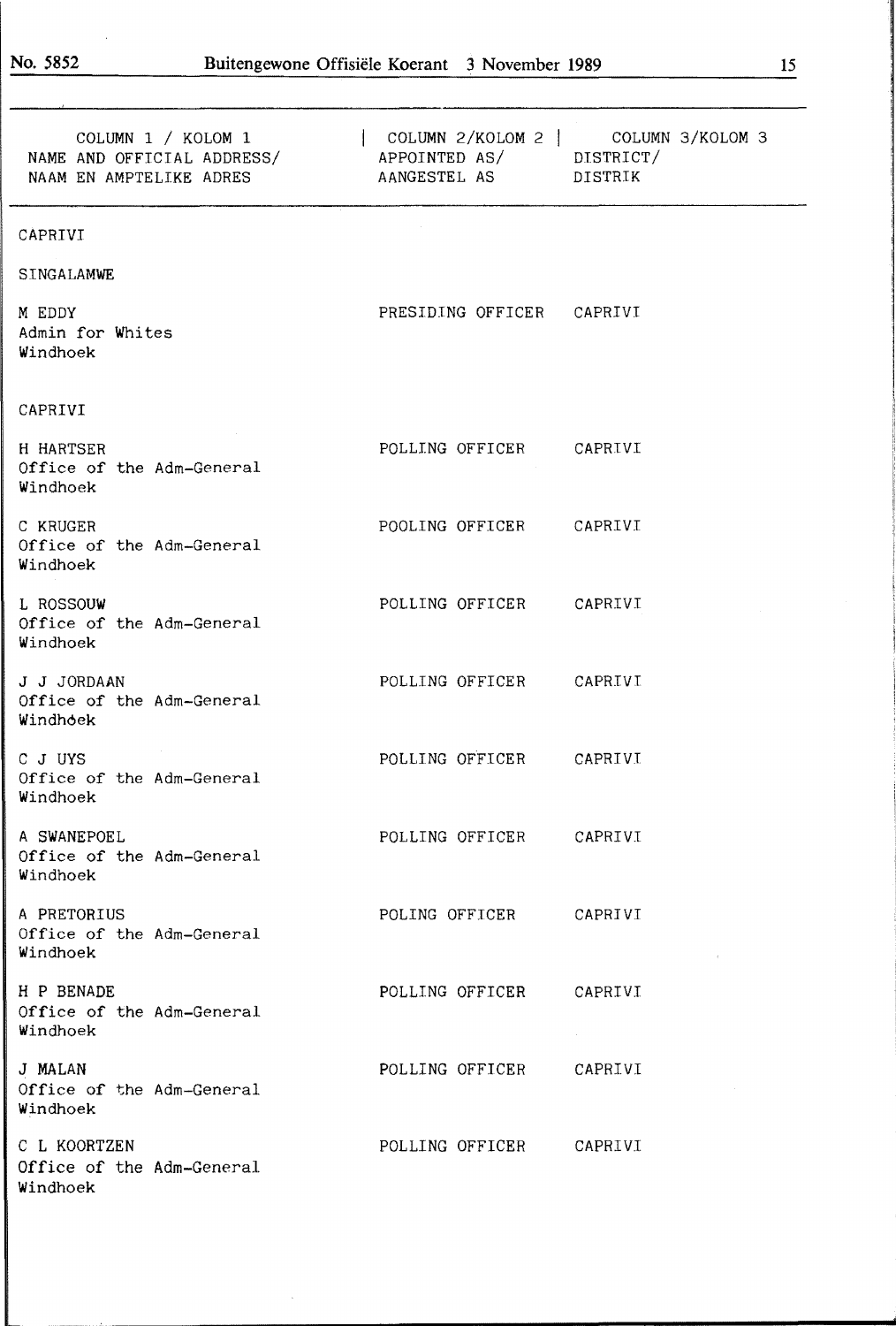| COLUMN 1 / KOLOM 1<br>NAME AND OFFICIAL ADDRESS/<br>NAAM EN AMPTELIKE ADRES | APPOINTED AS/ DISTRICT/<br>AANGESTEL AS | COLUMN 2/KOLOM 2   COLUMN 3/KOLOM 3<br>DISTRIK |
|-----------------------------------------------------------------------------|-----------------------------------------|------------------------------------------------|
| CAPRIVI                                                                     |                                         |                                                |
| SINGALAMWE                                                                  |                                         |                                                |
| M EDDY<br>Admin for Whites<br>Windhoek                                      | PRESIDING OFFICER CAPRIVI               |                                                |
| CAPRIVI                                                                     |                                         |                                                |
| H HARTSER<br>Office of the Adm-General<br>Windhoek                          | POLLING OFFICER CAPRIVI                 |                                                |
| C KRUGER<br>Office of the Adm-General<br>Windhoek                           | POOLING OFFICER CAPRIVI                 |                                                |
| L ROSSOUW<br>Office of the Adm-General<br>Windhoek                          | POLLING OFFICER CAPRIVI                 |                                                |
| J J JORDAAN<br>Office of the Adm-General<br>Windhoek                        | POLLING OFFICER CAPRIVI                 |                                                |
| C J UYS<br>Office of the Adm-General<br>Windhoek                            | POLLING OFFICER CAPRIVI                 |                                                |
| A SWANEPOEL<br>Office of the Adm-General<br>Windhoek                        | POLLING OFFICER CAPRIVI                 |                                                |
| A PRETORIUS<br>Office of the Adm-General<br>Windhoek                        | POLING OFFICER CAPRIVI                  |                                                |
| H P BENADE<br>Office of the Adm-General<br>Windhoek                         | POLLING OFFICER                         | CAPRIVI                                        |
| J MALAN<br>Office of the Adm-General<br>Windhoek                            | POLLING OFFICER                         | CAPRIVI                                        |
| C L KOORTZEN<br>Office of the Adm-General<br>Windhoek                       | POLLING OFFICER                         | CAPRIVI                                        |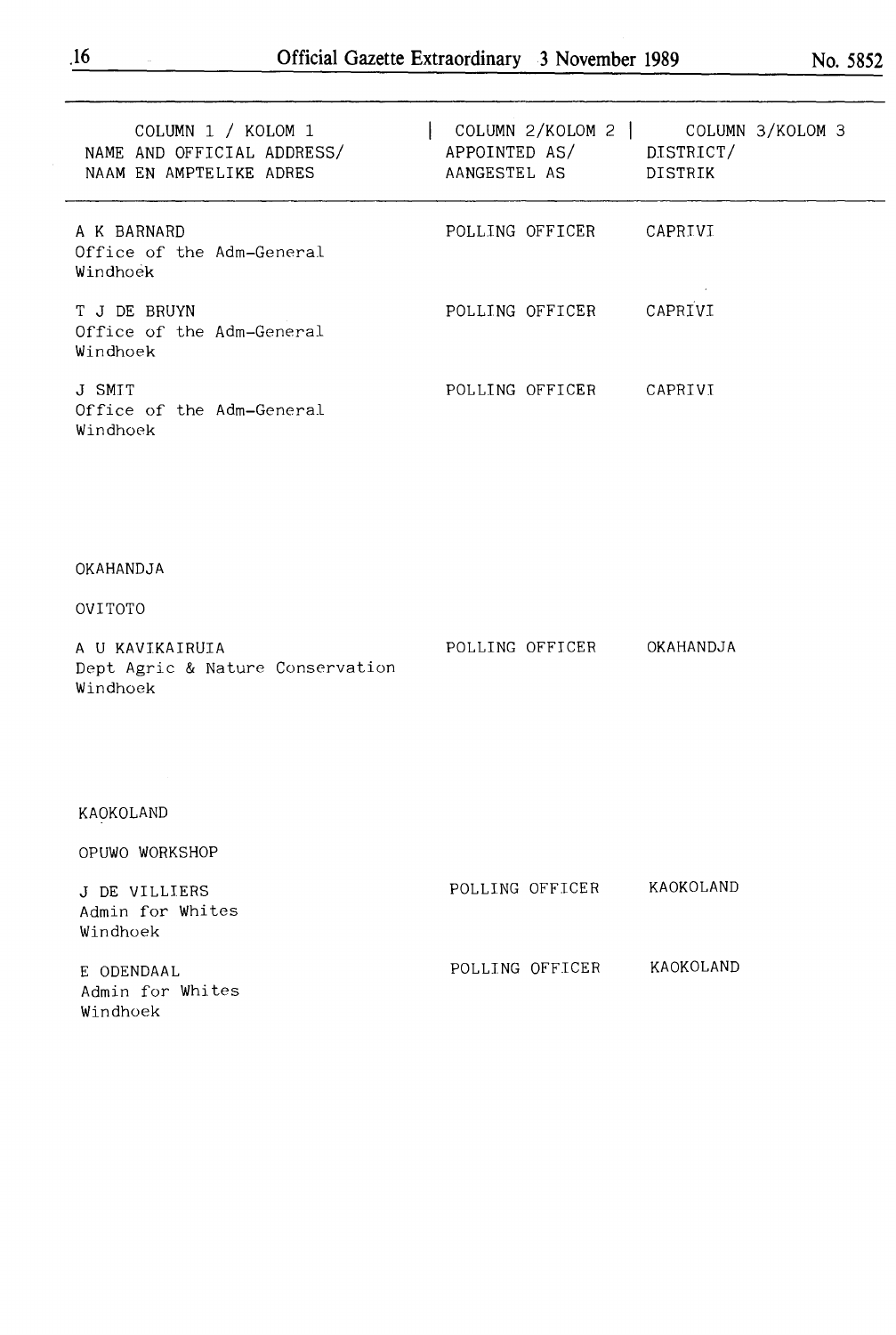$\overline{\phantom{a}}$ 

| COLUMN 1 / KOLOM 1<br>NAME AND OFFICIAL ADDRESS/<br>NAAM EN AMPTELIKE ADRES | APPOINTED AS/ DISTRICT/<br>AANGESTEL AS | $\vert$ COLUMN 2/KOLOM 2 $\vert$ COLUMN 3/KOLOM 3<br>DISTRIK |
|-----------------------------------------------------------------------------|-----------------------------------------|--------------------------------------------------------------|
| A K BARNARD<br>Office of the Adm-General<br>Windhoek                        | POLLING OFFICER                         | CAPRIVI                                                      |
| T J DE BRUYN<br>Office of the Adm-General<br>Windhoek                       | POLLING OFFICER                         | CAPRIVI                                                      |
| J SMIT<br>Office of the Adm-General<br>Windhoek                             | POLLING OFFICER CAPRIVI                 |                                                              |
|                                                                             |                                         |                                                              |
| OKAHANDJA                                                                   |                                         |                                                              |
| OVITOTO                                                                     |                                         |                                                              |
| A U KAVIKAIRUIA<br>Dept Agric & Nature Conservation<br>Windhoek             | POLLING OFFICER OKAHANDJA               |                                                              |
|                                                                             |                                         |                                                              |
| KAOKOLAND                                                                   |                                         |                                                              |
| OPUWO WORKSHOP                                                              |                                         |                                                              |
| J DE VILLIERS<br>Admin for Whites<br>Windhoek                               | POLLING OFFICER                         | KAOKOLAND                                                    |
| E ODENDAAL<br>Admin for Whites<br>Windhoek                                  | POLLING OFFICER                         | KAOKOLAND                                                    |
|                                                                             |                                         |                                                              |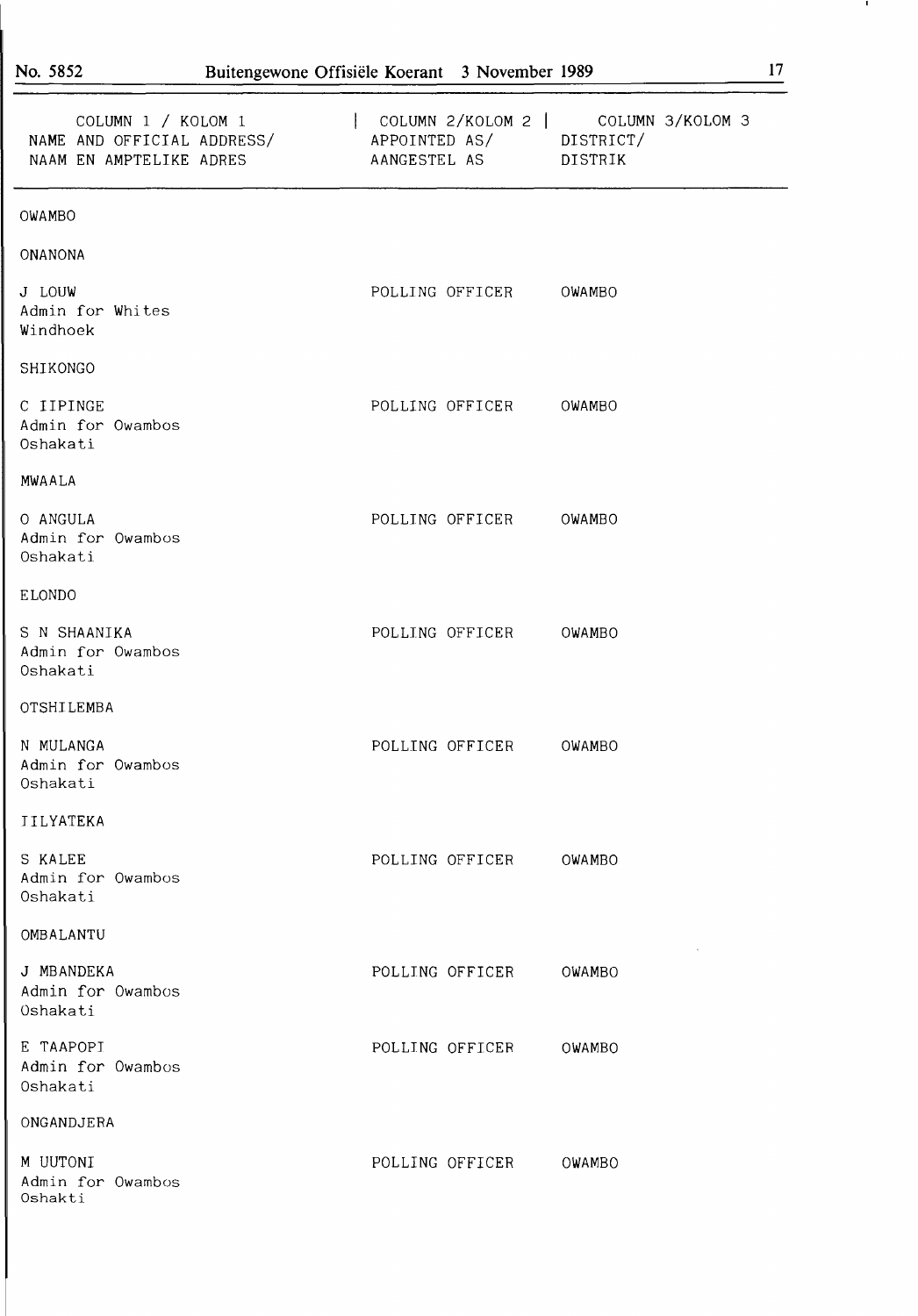| COLUMN 1 / KOLOM 1<br>NAME AND OFFICIAL ADDRESS/ APPOINTED AS/ DISTRICT/<br>NAAM EN AMPTELIKE ADRES | COLUMN 2/KOLOM 2   COLUMN 3/KOLOM 3<br>AANGESTEL AS DISTRIK |        |
|-----------------------------------------------------------------------------------------------------|-------------------------------------------------------------|--------|
| OWAMBO                                                                                              |                                                             |        |
| <b>ONANONA</b>                                                                                      |                                                             |        |
| J LOUW<br>Admin for Whites<br>Windhoek                                                              | POLLING OFFICER                                             | OWAMBO |
| SHIKONGO                                                                                            |                                                             |        |
| C IIPINGE<br>Admin for Owambos<br>Oshakati                                                          | POLLING OFFICER                                             | OWAMBO |
| MWAALA                                                                                              |                                                             |        |
| O ANGULA<br>Admin for Owambos<br>Oshakati                                                           | POLLING OFFICER                                             | OWAMBO |
| ELONDO                                                                                              |                                                             |        |
| S N SHAANIKA<br>Admin for Owambos<br>Oshakati                                                       | POLLING OFFICER                                             | OWAMBO |
| OTSHILEMBA                                                                                          |                                                             |        |
| N MULANGA<br>Admin for Owambos<br>Oshakati                                                          | POLLING OFFICER                                             | OWAMBO |
| <b>IILYATEKA</b>                                                                                    |                                                             |        |
| S KALEE<br>Admin for Owambos<br>Oshakati                                                            | POLLING OFFICER                                             | OWAMBO |
| OMBALANTU                                                                                           |                                                             |        |
| J MBANDEKA<br>Admin for Owambos<br>Oshakati                                                         | POLLING OFFICER                                             | OWAMBO |
| E TAAPOPI<br>Admin for Owambos<br>Oshakati                                                          | POLLING OFFICER                                             | OWAMBO |
| ONGANDJERA                                                                                          |                                                             |        |
| M UUTONI<br>Admin for Owambos<br>Oshakti                                                            | POLLING OFFICER                                             | OWAMBO |

.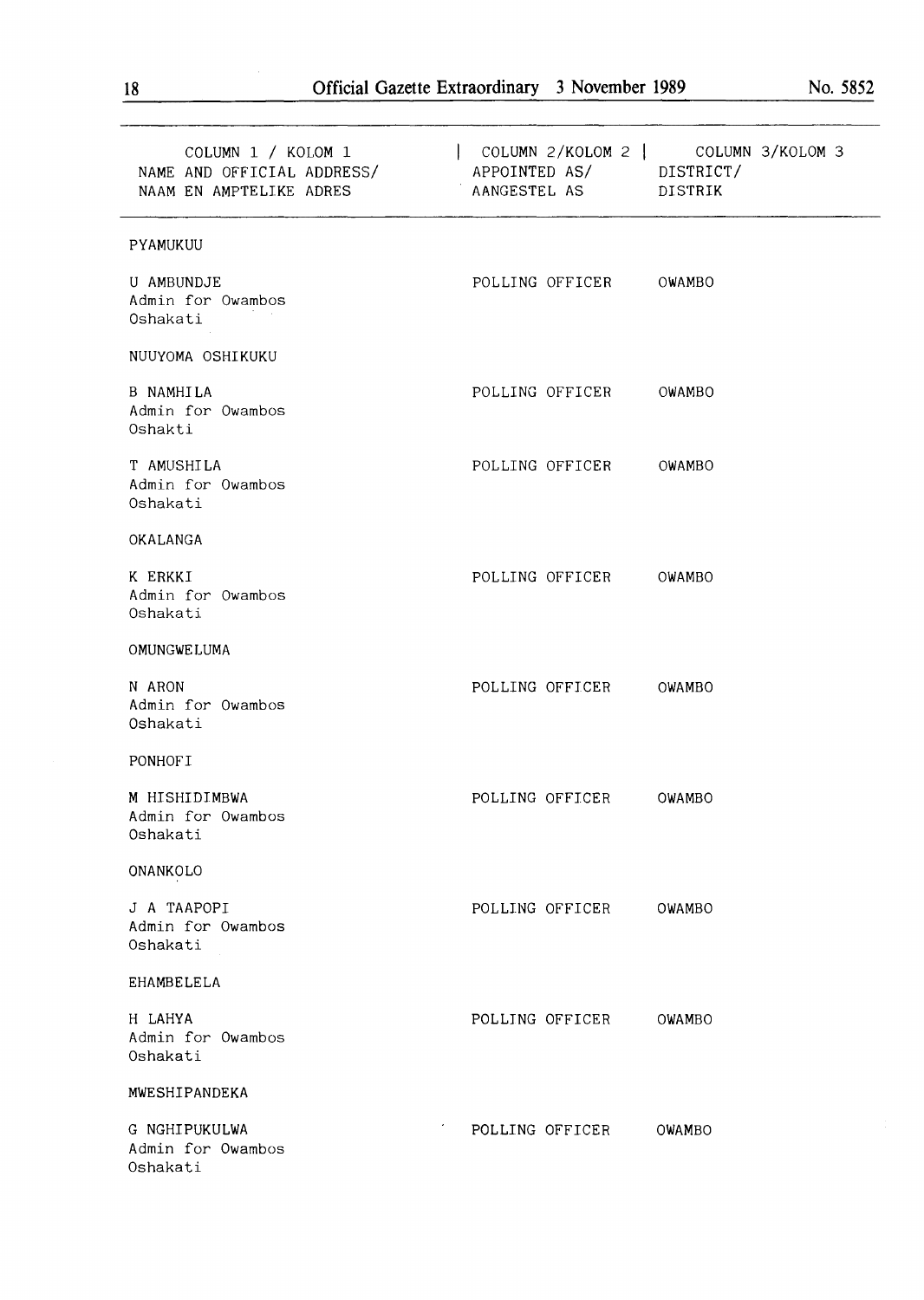| COLUMN 1 / KOLOM 1<br>NAME AND OFFICIAL ADDRESS/<br>NAAM EN AMPTELIKE ADRES | APPOINTED AS/ DISTRICT/<br>AANGESTEL AS | COLUMN 2/KOLOM 2   COLUMN 3/KOLOM 3<br>DISTRIK |
|-----------------------------------------------------------------------------|-----------------------------------------|------------------------------------------------|
| PYAMUKUU                                                                    |                                         |                                                |
| U AMBUNDJE<br>Admin for Owambos<br>Oshakati                                 | POLLING OFFICER OWAMBO                  |                                                |
| NUUYOMA OSHIKUKU                                                            |                                         |                                                |
| <b>B NAMHILA</b><br>Admin for Owambos<br>Oshakti                            | POLLING OFFICER                         | OWAMBO                                         |
| T AMUSHILA<br>Admin for Owambos<br>Oshakati                                 | POLLING OFFICER                         | OWAMBO                                         |
| OKALANGA                                                                    |                                         |                                                |
| K ERKKI<br>Admin for Owambos<br>Oshakati                                    | POLLING OFFICER                         | OWAMBO                                         |
| OMUNGWELUMA                                                                 |                                         |                                                |
| N ARON<br>Admin for Owambos<br>Oshakati                                     | POLLING OFFICER                         | OWAMBO                                         |
| PONHOF I                                                                    |                                         |                                                |
| M HISHIDIMBWA<br>Admin for Owambos<br>Oshakati                              | POLLING OFFICER                         | OWAMBO                                         |
| ONANKOLO                                                                    |                                         |                                                |
| J A TAAPOPI<br>Admin for Owambos<br>Oshakati                                | POLLING OFFICER                         | OWAMBO                                         |
| EHAMBELELA                                                                  |                                         |                                                |
| H LAHYA<br>Admin for Owambos<br>Oshakati                                    | POLLING OFFICER                         | OWAMBO                                         |
| MWESHIPANDEKA                                                               |                                         |                                                |
| G NGHIPUKULWA<br>Admin for Owambos<br>Oshakati                              | POLLING OFFICER                         | OWAMBO                                         |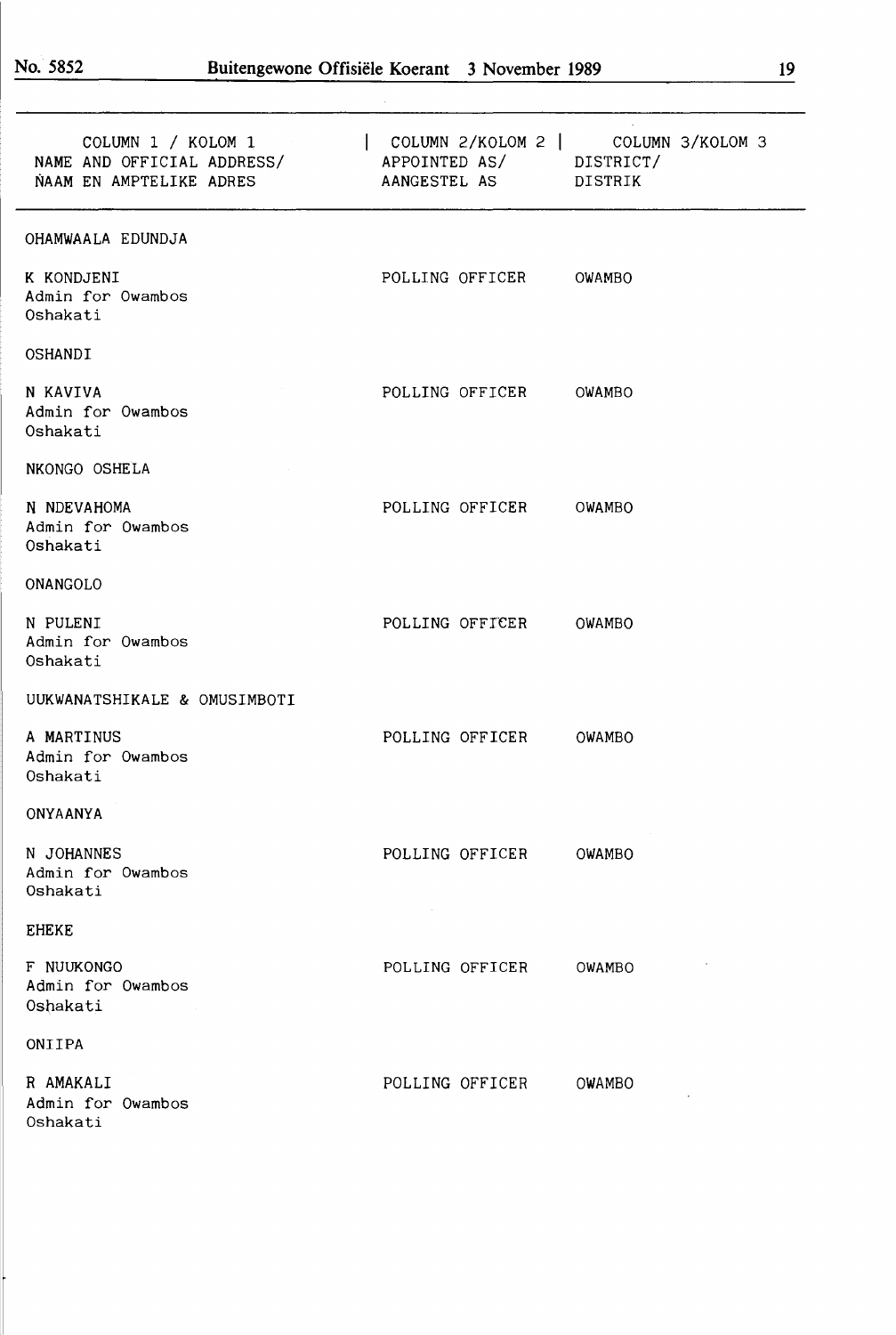| COLUMN 1 / KOLOM 1                                    | $\vert$ COLUMN 2/KOLOM 2 $\vert$ COLUMN 3/KOLOM 3 |  |
|-------------------------------------------------------|---------------------------------------------------|--|
| NAME AND OFFICIAL ADDRESS/<br>NAAM EN AMPTELIKE ADRES | APPOINTED AS/ DISTRICT/<br>AANGESTEL AS DISTRIK   |  |
| OHAMWAALA EDUNDJA                                     |                                                   |  |
| K KONDJENI<br>Admin for Owambos<br>Oshakati           | POLLING OFFICER<br>OWAMBO                         |  |
| OSHANDI                                               |                                                   |  |
| N KAVIVA<br>Admin for Owambos<br>Oshakati             | POLLING OFFICER OWAMBO                            |  |
| NKONGO OSHELA                                         |                                                   |  |
| N NDEVAHOMA<br>Admin for Owambos<br>Oshakati          | POLLING OFFICER OWAMBO                            |  |
| ONANGOLO                                              |                                                   |  |
| N PULENI<br>Admin for Owambos<br>Oshakati             | POLLING OFFICER<br>OWAMBO                         |  |
| UUKWANATSHIKALE & OMUSIMBOTI                          |                                                   |  |
| A MARTINUS<br>Admin for Owambos<br>Oshakati           | POLLING OFFICER OWAMBO                            |  |
| ONYAANYA                                              |                                                   |  |
| N JOHANNES<br>Admin for Owambos<br>Oshakati           | POLLING OFFICER<br>OWAMBO                         |  |
| <b>EHEKE</b>                                          |                                                   |  |
| F NUUKONGO<br>Admin for Owambos<br>Oshakati           | POLLING OFFICER<br>OWAMBO                         |  |
| ONIIPA                                                |                                                   |  |
| R AMAKALI<br>Admin for Owambos<br>Oshakati            | POLLING OFFICER<br>OWAMBO                         |  |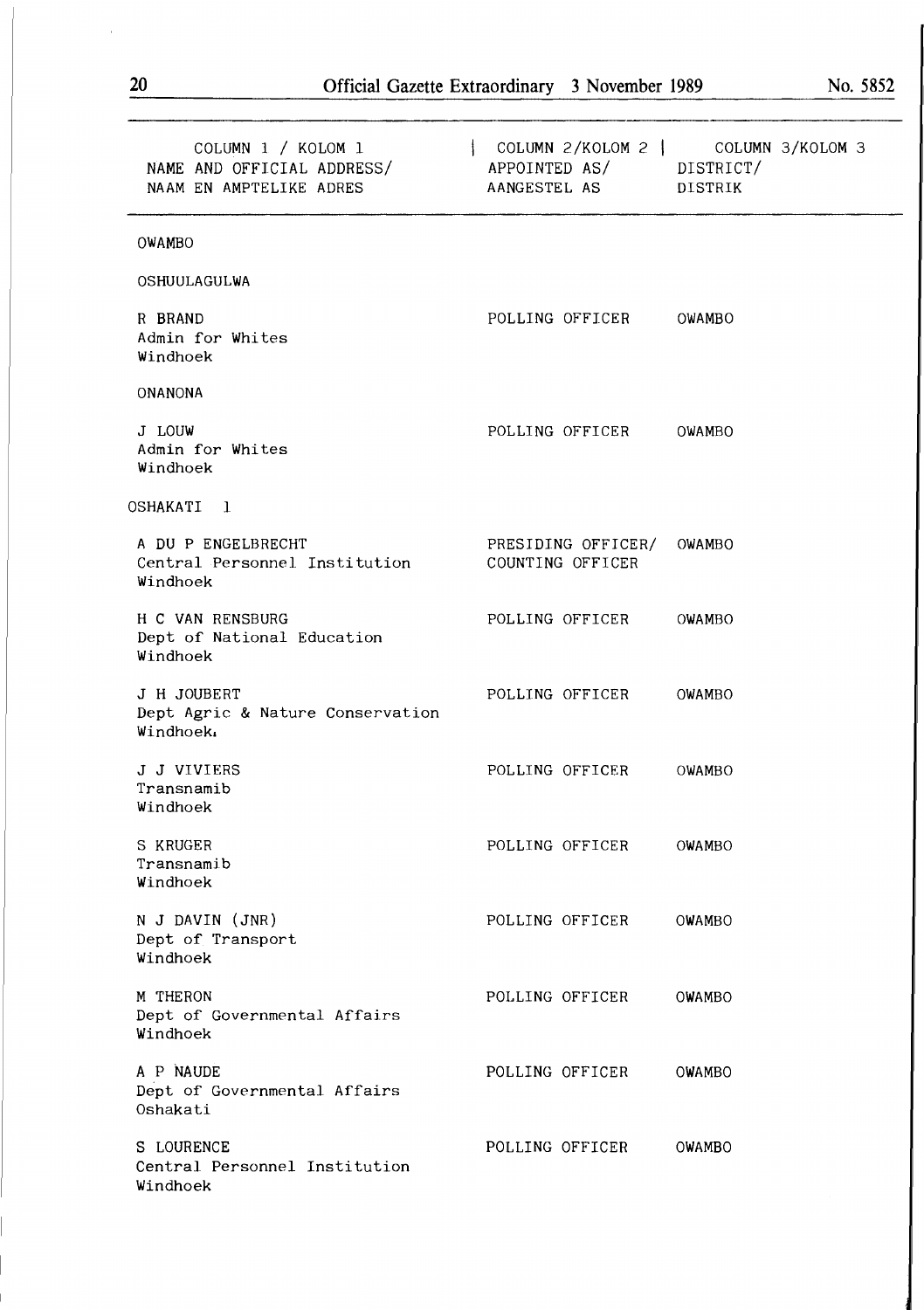| ΔV                                                                          | Official Gazette Extraordinary 5 November 1989                                                 |               | <b>IAN: 30</b> |
|-----------------------------------------------------------------------------|------------------------------------------------------------------------------------------------|---------------|----------------|
| COLUMN 1 / KOLOM 1<br>NAME AND OFFICIAL ADDRESS/<br>NAAM EN AMPTELIKE ADRES | $\mathbf{1}$<br>COLUMN 2/KOLOM 2   COLUMN 3/KOLOM 3<br>APPOINTED AS/ DISTRICT/<br>AANGESTEL AS | DISTRIK       |                |
| OWAMBO                                                                      |                                                                                                |               |                |
| OSHUULAGULWA                                                                |                                                                                                |               |                |
| R BRAND<br>Admin for Whites<br>Windhoek                                     | POLLING OFFICER                                                                                | OWAMBO        |                |
| <b>ONANONA</b>                                                              |                                                                                                |               |                |
| J LOUW<br>Admin for Whites<br>Windhoek                                      | POLLING OFFICER                                                                                | OWAMBO        |                |
| OSHAKATI 1                                                                  |                                                                                                |               |                |
| A DU P ENGELBRECHT<br>Central Personnel Institution<br>Windhoek             | PRESIDING OFFICER/<br>COUNTING OFFICER                                                         | OWAMBO        |                |
| H C VAN RENSBURG<br>Dept of National Education<br>Windhoek                  | POLLING OFFICER                                                                                | OWAMBO        |                |
| J H JOUBERT<br>Dept Agric & Nature Conservation<br>Windhoek.                | POLLING OFFICER                                                                                | OWAMBO        |                |
| J J VIVIERS<br>Transnamib<br>Windhoek                                       | POLLING OFFICER                                                                                | OWAMBO        |                |
| S KRUGER<br>Transnamib<br>Windhoek                                          | POLLING OFFICER                                                                                | <b>OWAMBO</b> |                |
| N J DAVIN (JNR)<br>$Dont$ of Transport                                      | POLLING OFFICER                                                                                | OWAMBO        |                |

Dept of Transport Windhoek

M THERON Dept of Governmental Affairs Windhoek

A P NAUDE Dept of Governmental Affairs Oshakati

S LOURENCE Central Personnel Institution Windhoek

POLLING OFFICER OWAMBO

POLLING OFFICER OWAMBO

POLLING OFFICER OWAMBO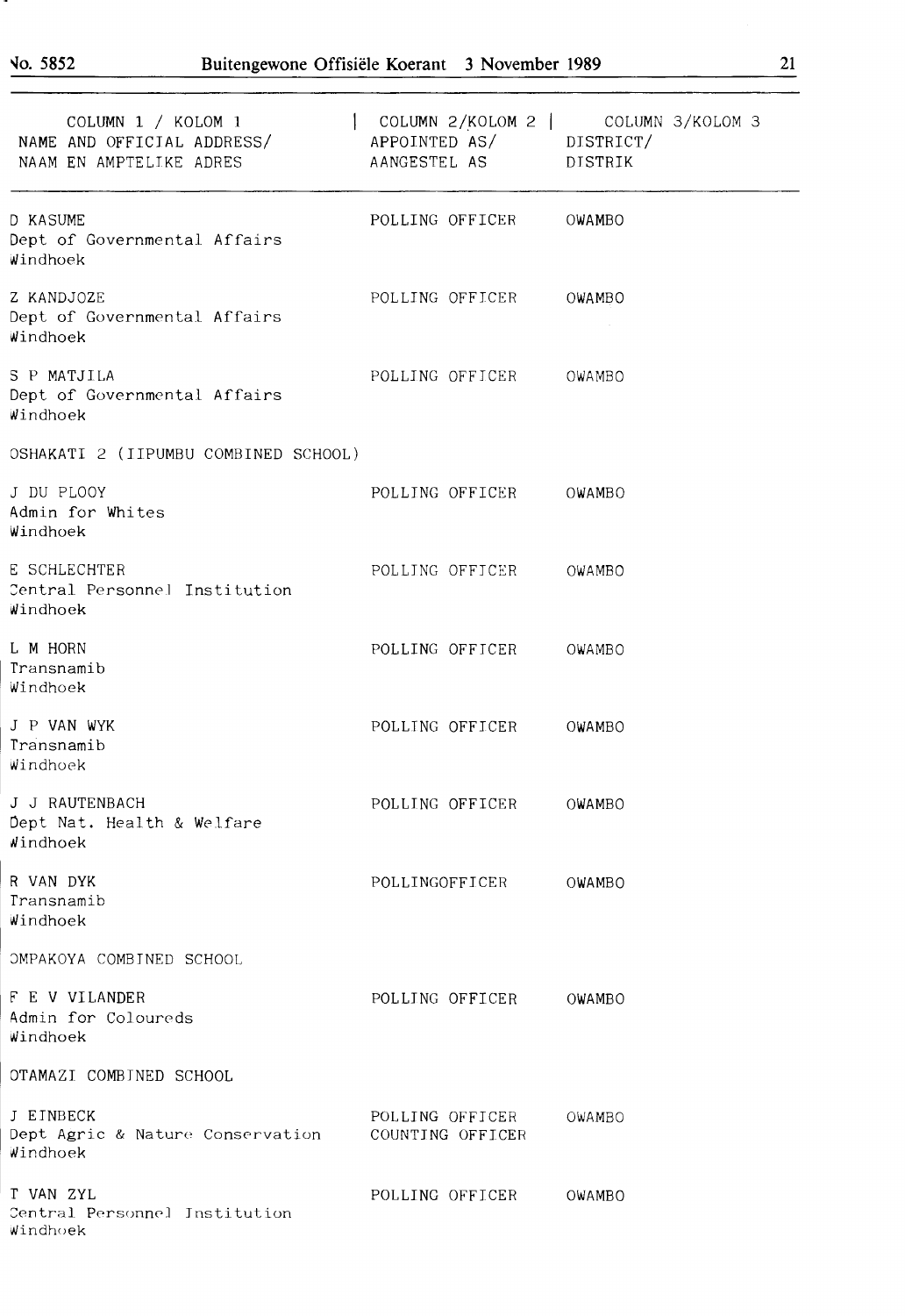| COLUMN 1 / KOLOM 1<br>NAME AND OFFICIAL ADDRESS/<br>NAAM EN AMPTELIKE ADRES | APPOINTED AS/ DISTRICT/<br>AANGESTEL AS DISTRIK | $\vert$ COLUMN 2/KOLOM 2 $\vert$ COLUMN 3/KOLOM 3 |
|-----------------------------------------------------------------------------|-------------------------------------------------|---------------------------------------------------|
| D KASUME<br>Dept of Governmental Affairs<br>Windhoek                        | POLLING OFFICER OWAMBO                          |                                                   |
| Z KANDJOZE<br>Dept of Governmental Affairs<br>Windhoek                      | POLLING OFFICER OWAMBO                          |                                                   |
| S P MATJILA<br>Dept of Governmental Affairs<br>Windhoek                     | POLLING OFFICER OWAMBO                          |                                                   |
| OSHAKATI 2 (IIPUMBU COMBINED SCHOOL)                                        |                                                 |                                                   |
| J DU PLOOY<br>Admin for Whites<br>Windhoek                                  | POLLING OFFICER OWAMBO                          |                                                   |
| E SCHLECHTER<br>Central Personnel Institution<br>Windhoek                   | POLLING OFFICER OWAMBO                          |                                                   |
| L M HORN<br>Transnamib<br>Windhoek                                          | POLLING OFFICER                                 | OWAMBO                                            |
| J P VAN WYK<br>Transnamib<br>Windhoek                                       | POLLING OFFICER                                 | OWAMBO                                            |
| J J RAUTENBACH<br>Dept Nat. Health & Welfare<br>Windhoek                    | POLLING OFFICER                                 | OWAMBO                                            |
| R VAN DYK<br>Transnamib<br>Windhoek                                         | POLLINGOFFICER                                  | OWAMBO                                            |
| OMPAKOYA COMBINED SCHOOL                                                    |                                                 |                                                   |
| F E V VILANDER<br>Admin for Coloureds<br>Windhoek                           | POLLING OFFICER                                 | OWAMBO                                            |
| OTAMAZI COMBINED SCHOOL                                                     |                                                 |                                                   |
| J EINBECK<br>Dept Agric & Nature Conservation<br>Windhoek                   | POLLING OFFICER<br>COUNTING OFFICER             | OWAMBO                                            |
| T VAN ZYL<br>Central Personnel Institution<br>Windhoek                      | POLLING OFFICER                                 | OWAMBO                                            |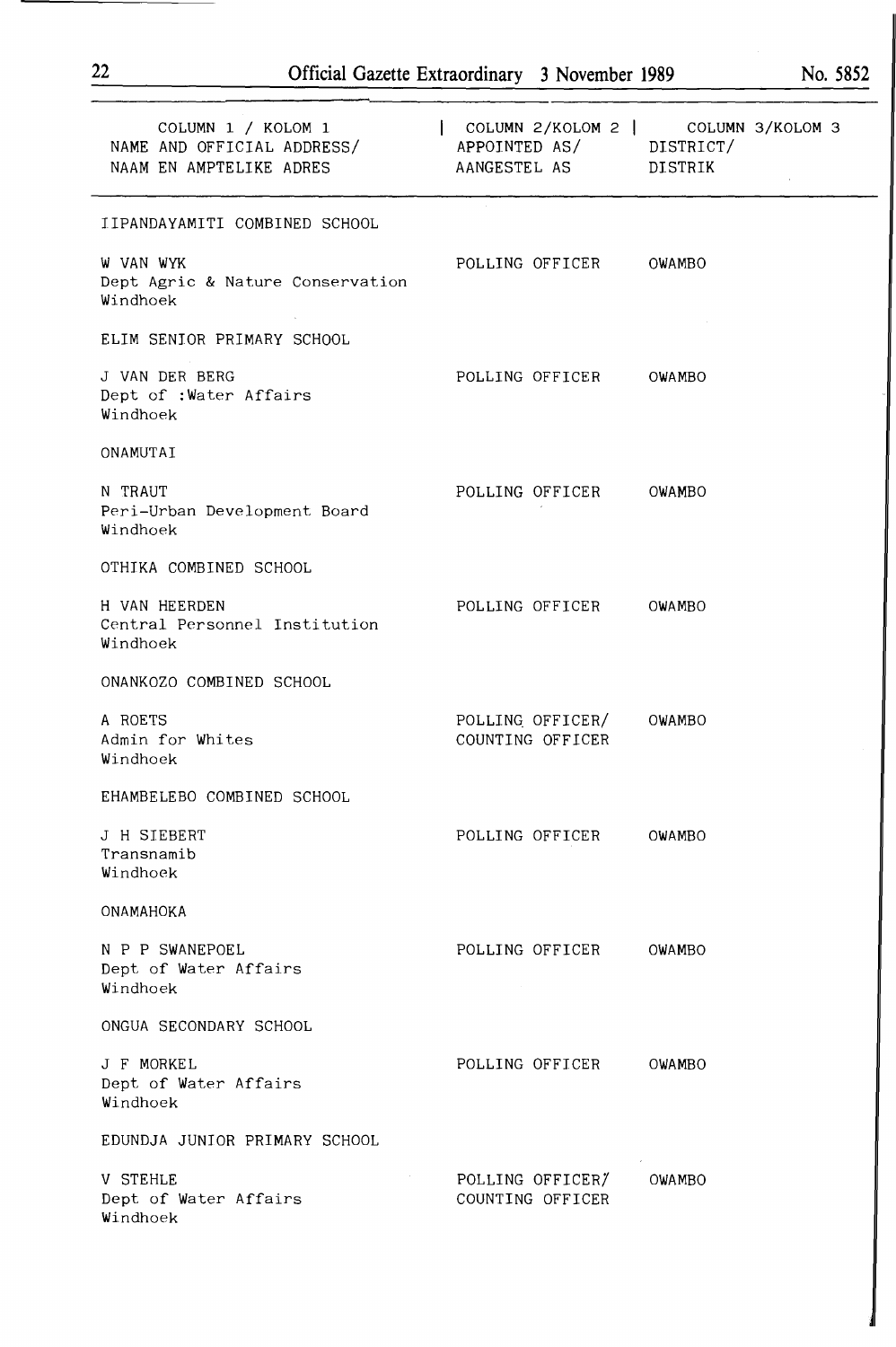| COLUMN 1 / KOLOM 1<br>NAME AND OFFICIAL ADDRESS/<br>NAAM EN AMPTELIKE ADRES | COLUMN 2/KOLOM 2   COLUMN 3/KOLOM 3<br>APPOINTED AS/ DISTRICT/<br>AANGESTEL AS DISTRIK |        |
|-----------------------------------------------------------------------------|----------------------------------------------------------------------------------------|--------|
| IIPANDAYAMITI COMBINED SCHOOL                                               |                                                                                        |        |
| W VAN WYK<br>Dept Agric & Nature Conservation<br>Windhoek                   | POLLING OFFICER OWAMBO                                                                 |        |
| ELIM SENIOR PRIMARY SCHOOL                                                  |                                                                                        |        |
| J VAN DER BERG<br>Dept of : Water Affairs<br>Windhoek                       | POLLING OFFICER                                                                        | OWAMBO |
| ONAMUTAI                                                                    |                                                                                        |        |
| N TRAUT<br>Peri-Urban Development Board<br>Windhoek                         | POLLING OFFICER                                                                        | OWAMBO |
| OTHIKA COMBINED SCHOOL                                                      |                                                                                        |        |
| H VAN HEERDEN<br>Central Personnel Institution<br>Windhoek                  | POLLING OFFICER                                                                        | OWAMBO |
| ONANKOZO COMBINED SCHOOL                                                    |                                                                                        |        |
| A ROETS<br>Admin for Whites<br>Windhoek                                     | POLLING OFFICER/ OWAMBO<br>COUNTING OFFICER                                            |        |
| EHAMBELEBO COMBINED SCHOOL                                                  |                                                                                        |        |
| J H SIEBERT<br>Transnamib<br>Windhoek                                       | POLLING OFFICER                                                                        | OWAMBO |
| ONAMAHOKA                                                                   |                                                                                        |        |
| N P P SWANEPOEL<br>Dept of Water Affairs<br>Windhoek                        | POLLING OFFICER                                                                        | OWAMBO |
| ONGUA SECONDARY SCHOOL                                                      |                                                                                        |        |
| J F MORKEL<br>Dept of Water Affairs<br>Windhoek                             | POLLING OFFICER                                                                        | OWAMBO |
| EDUNDJA JUNIOR PRIMARY SCHOOL                                               |                                                                                        |        |
| <b>V STEHLE</b><br>Dept of Water Affairs<br>Windhoek                        | POLLING OFFICER/<br>COUNTING OFFICER                                                   | OWAMBO |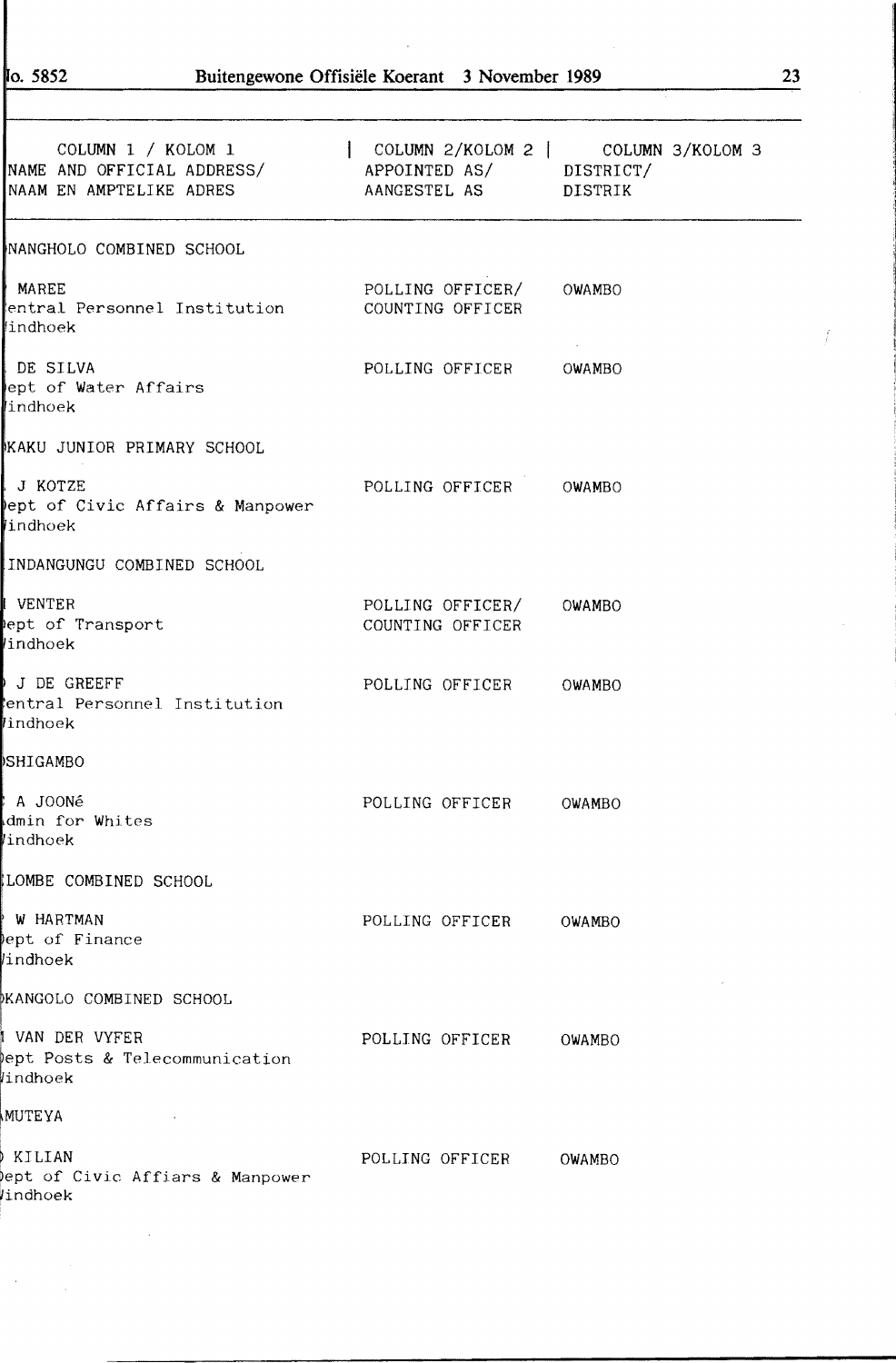$\sim$ 

| COLUMN 1 / KOLOM 1   COLUMN 2/KOLOM 2   COLUMN 3/KOLOM 3<br>NAME AND OFFICIAL ADDRESS/ APPOINTED AS/ DISTRICT/<br>NAAM EN AMPTELIKE ADRES | AANGESTEL AS DISTRIK                        |        |
|-------------------------------------------------------------------------------------------------------------------------------------------|---------------------------------------------|--------|
| NANGHOLO COMBINED SCHOOL                                                                                                                  |                                             |        |
| MAREE<br>entral Personnel Institution<br>lindhoek                                                                                         | POLLING OFFICER/ OWAMBO<br>COUNTING OFFICER |        |
| I DE SILVA<br>ept of Water Affairs<br>indhoek                                                                                             | POLLING OFFICER OWAMBO                      |        |
| KAKU JUNIOR PRIMARY SCHOOL                                                                                                                |                                             |        |
| I J KOTZE<br>ept of Civic Affairs & Manpower<br><i>indhoek</i>                                                                            | POLLING OFFICER OWAMBO                      |        |
| INDANGUNGU COMBINED SCHOOL                                                                                                                |                                             |        |
| I VENTER<br>ept of Transport<br>indhoek                                                                                                   | POLLING OFFICER/ OWAMBO<br>COUNTING OFFICER |        |
| J DE GREEFF<br>entral Personnel Institution<br>lindhoek                                                                                   | POLLING OFFICER OWAMBO                      |        |
| )SHIGAMBO                                                                                                                                 |                                             |        |
| ∤ A JOONé<br>dmin for Whites<br>lindhoek                                                                                                  | POLLING OFFICER OWAMBO                      |        |
| LOMBE COMBINED SCHOOL                                                                                                                     |                                             |        |
| ∤ W HARTMAN<br>ept of Finance<br>lindhoek                                                                                                 | POLLING OFFICER                             | OWAMBO |
| MKANGOLO COMBINED SCHOOL                                                                                                                  |                                             |        |
| I VAN DER VYFER<br>ept Posts & Telecommunication<br><i>l</i> indhoek                                                                      | POLLING OFFICER                             | OWAMBO |
| <b>MUTEYA</b>                                                                                                                             |                                             |        |
| ) KILIAN<br>ept of Civic Affiars & Manpower<br>Windhoek                                                                                   | POLLING OFFICER                             | OWAMBO |

f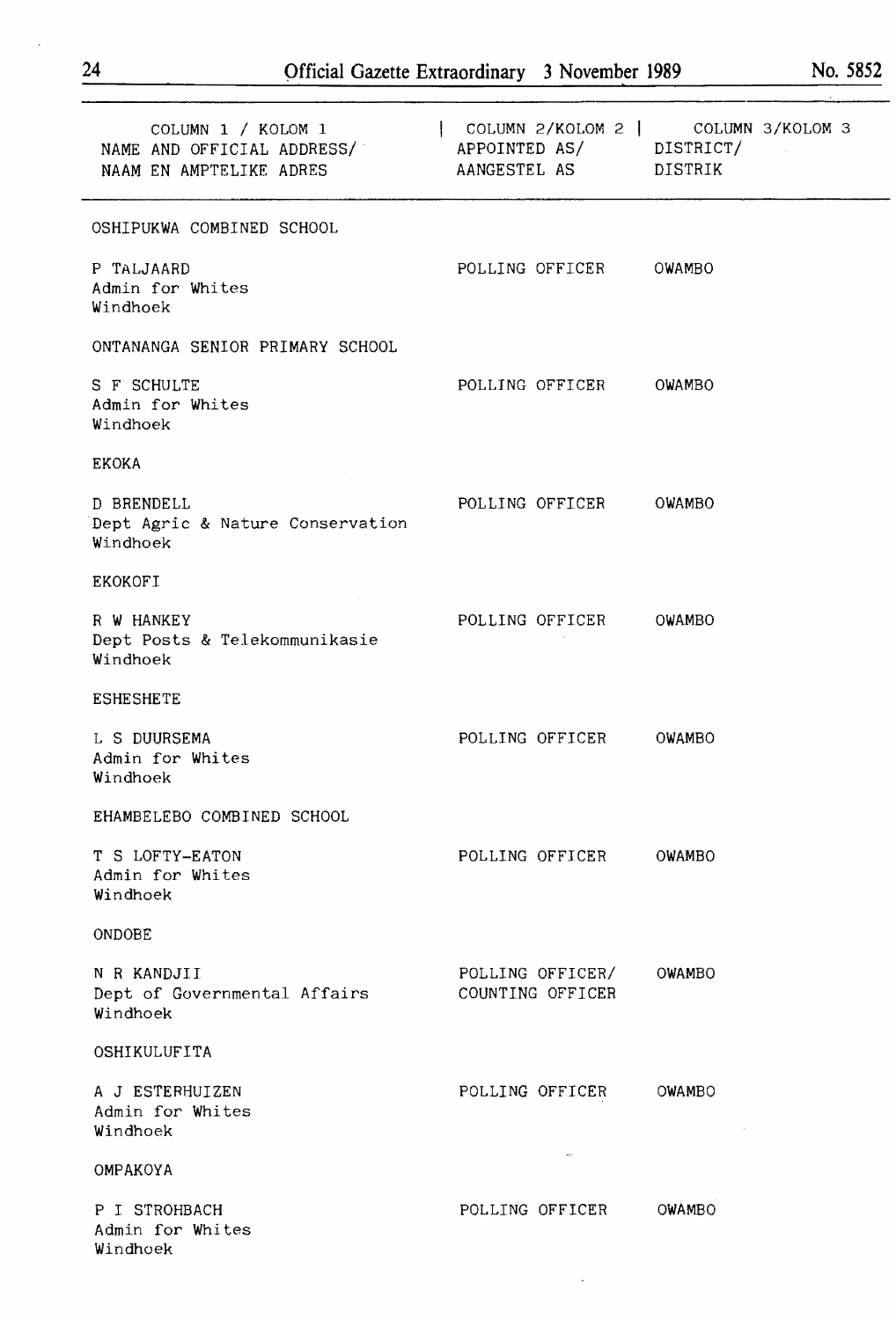| COLUMN 1 / KOLOM 1<br>NAME AND OFFICIAL ADDRESS/ APPOINTED AS/ DISTRICT/<br>NAAM EN AMPTELIKE ADRES | AANGESTEL AS DISTRIK                 | COLUMN 2/KOLOM 2   COLUMN 3/KOLOM 3 |
|-----------------------------------------------------------------------------------------------------|--------------------------------------|-------------------------------------|
| OSHIPUKWA COMBINED SCHOOL                                                                           |                                      |                                     |
| P TALJAARD<br>Admin for Whites<br>Windhoek                                                          | POLLING OFFICER OWAMBO               |                                     |
| ONTANANGA SENIOR PRIMARY SCHOOL                                                                     |                                      |                                     |
| S F SCHULTE<br>Admin for Whites<br>Windhoek                                                         | POLLING OFFICER                      | OWAMBO                              |
| <b>EKOKA</b>                                                                                        |                                      |                                     |
| D BRENDELL<br>Dept Agric & Nature Conservation<br>Windhoek                                          | POLLING OFFICER OWAMBO               |                                     |
| <b>EKOKOFI</b>                                                                                      |                                      |                                     |
| R W HANKEY<br>Dept Posts & Telekommunikasie<br>Windhoek                                             | POLLING OFFICER OWAMBO               |                                     |
| <b>ESHESHETE</b>                                                                                    |                                      |                                     |
| L S DUURSEMA<br>Admin for Whites<br>Windhoek                                                        | POLLING OFFICER                      | OWAMBO                              |
| EHAMBELEBO COMBINED SCHOOL                                                                          |                                      |                                     |
| T S LOFTY-EATON<br>Admin for Whites<br>Windhoek                                                     | POLLING OFFICER                      | OWAMBO                              |
| ONDOBE                                                                                              |                                      |                                     |
| N R KANDJII<br>Dept of Governmental Affairs<br>Windhoek                                             | POLLING OFFICER/<br>COUNTING OFFICER | OWAMBO                              |
| OSHIKULUFITA                                                                                        |                                      |                                     |
| A J ESTERHUIZEN<br>Admin for Whites<br>Windhoek                                                     | POLLING OFFICER                      | OWAMBO                              |
| OMPAKOYA                                                                                            | $_{\rm{sat}}$                        |                                     |
| P I STROHBACH<br>Admin for Whites<br>Windhoek                                                       | POLLING OFFICER                      | OWAMBO                              |

 $\ddot{\phantom{0}}$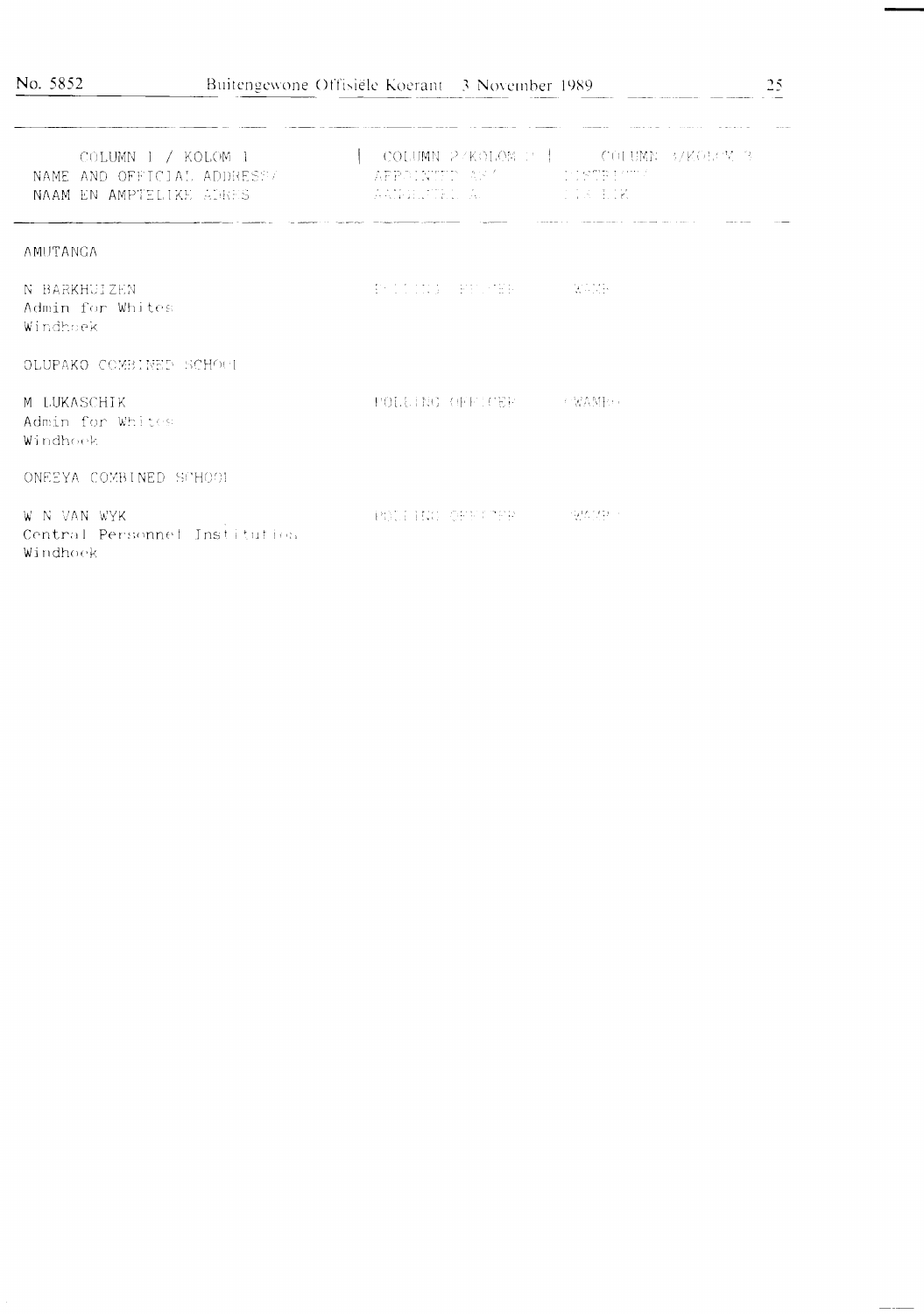.<br>Wang-kalimang pangalang pangalang pangalang pangalang pangalang pangalang pangalang pangalang pangalang pangal

| COLUMN $1 / KOLOM_1$<br>NAME AND OFFICIAL ADDRESSZ<br>NAAM EN AMPTELIKE ADRES | APPOINTIUM AS ANNOUNCEMENTARY<br>e de la participa de la característica de la participa de la característica de la característica de la caracter<br>La participa de la característica de la característica de la característica de la característica de la caracte | COLUMN 2/KOLOM P   COLUMN 3/KOLOM 3<br><b>SECTION</b> |
|-------------------------------------------------------------------------------|--------------------------------------------------------------------------------------------------------------------------------------------------------------------------------------------------------------------------------------------------------------------|-------------------------------------------------------|
| AMUTANGA                                                                      |                                                                                                                                                                                                                                                                    |                                                       |
| N BARKHUIZEN<br>Admin for Whites<br>Windhoek                                  | The College of Hardwall (1997)                                                                                                                                                                                                                                     | <b>TELEMONY</b>                                       |
| OLUPAKO COMBINED SCHOOL                                                       |                                                                                                                                                                                                                                                                    |                                                       |
| M LUKASCHIK<br>Admin for Whites<br>Windhoek                                   | POLLING OFFICER THE CWAMP                                                                                                                                                                                                                                          |                                                       |
| ONEEYA COMBINED SCHOOL                                                        |                                                                                                                                                                                                                                                                    |                                                       |
| W N VAN WYK<br>Central Personnel Institution<br>Windhoek                      | POLITIC OPEN TER COOP DOME                                                                                                                                                                                                                                         |                                                       |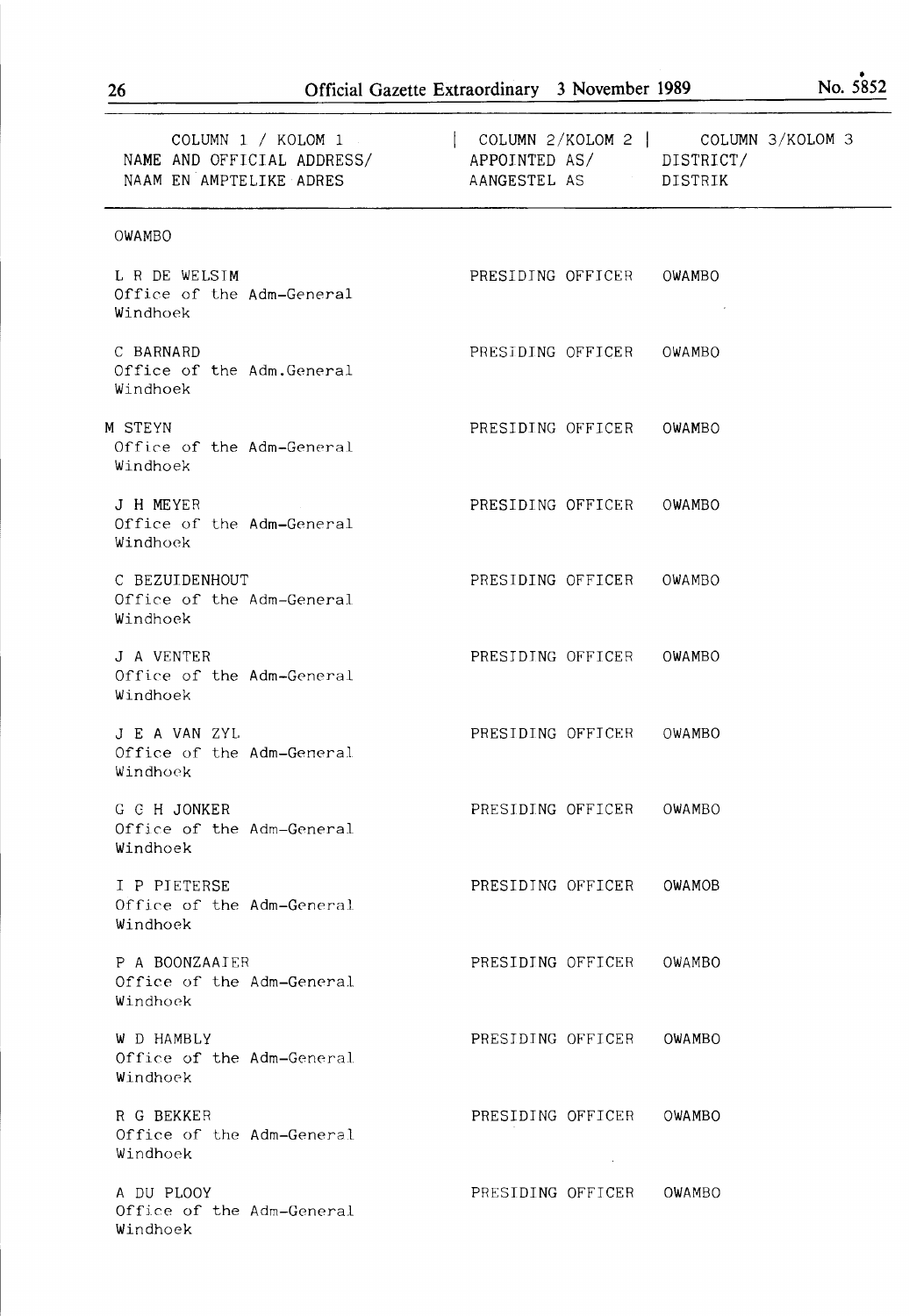| COLUMN 1 / KOLOM 1<br>NAME AND OFFICIAL ADDRESS/<br>NAAM EN AMPTELIKE ADRES | COLUMN 2/KOLOM 2   COLUMN 3/KOLOM 3<br>APPOINTED AS/ DISTRICT/<br>AANGESTEL AS DISTRIK |  |
|-----------------------------------------------------------------------------|----------------------------------------------------------------------------------------|--|
| OWAMBO                                                                      |                                                                                        |  |
| L R DE WELSIM<br>Office of the Adm-General<br>Windhoek                      | PRESIDING OFFICER OWAMBO                                                               |  |
| C BARNARD<br>Office of the Adm.General<br>Windhoek                          | PRESIDING OFFICER<br>OWAMBO                                                            |  |
| M STEYN<br>Office of the Adm-General<br>Windhoek                            | PRESIDING OFFICER OWAMBO                                                               |  |
| J H MEYER<br>Office of the Adm-General<br>Windhoek                          | PRESIDING OFFICER<br>OWAMBO                                                            |  |
| C BEZUIDENHOUT<br>Office of the Adm-General<br>Windhoek                     | PRESIDING OFFICER OWAMBO                                                               |  |
| J A VENTER<br>Office of the Adm-General<br>Windhoek                         | PRESIDING OFFICER OWAMBO                                                               |  |
| J E A VAN ZYL<br>Office of the Adm-General<br>Windhock                      | PRESIDING OFFICER OWAMBO                                                               |  |
| G C H JONKER<br>Office of the Adm-General<br>Windhoek                       | PRESIDING OFFICER<br>OWAMBO                                                            |  |
| I P PIETERSE<br>Office of the Adm-General<br>Windhoek                       | PRESIDING OFFICER OWAMOB                                                               |  |
| P A BOONZAAIER<br>Office of the Adm-General<br>Windhoek                     | PRESIDING OFFICER<br>OWAMBO                                                            |  |
| W D HAMBLY<br>Office of the Adm-General<br>Windhoek                         | PRESIDING OFFICER<br>OWAMBO                                                            |  |
| R G BEKKER<br>Office of the Adm-General<br>Windhoek                         | PRESIDING OFFICER<br>OWAMBO                                                            |  |
| A DU PLOOY<br>Office of the Adm-General                                     | PRESIDING OFFICER<br>OWAMBO                                                            |  |

Windhoek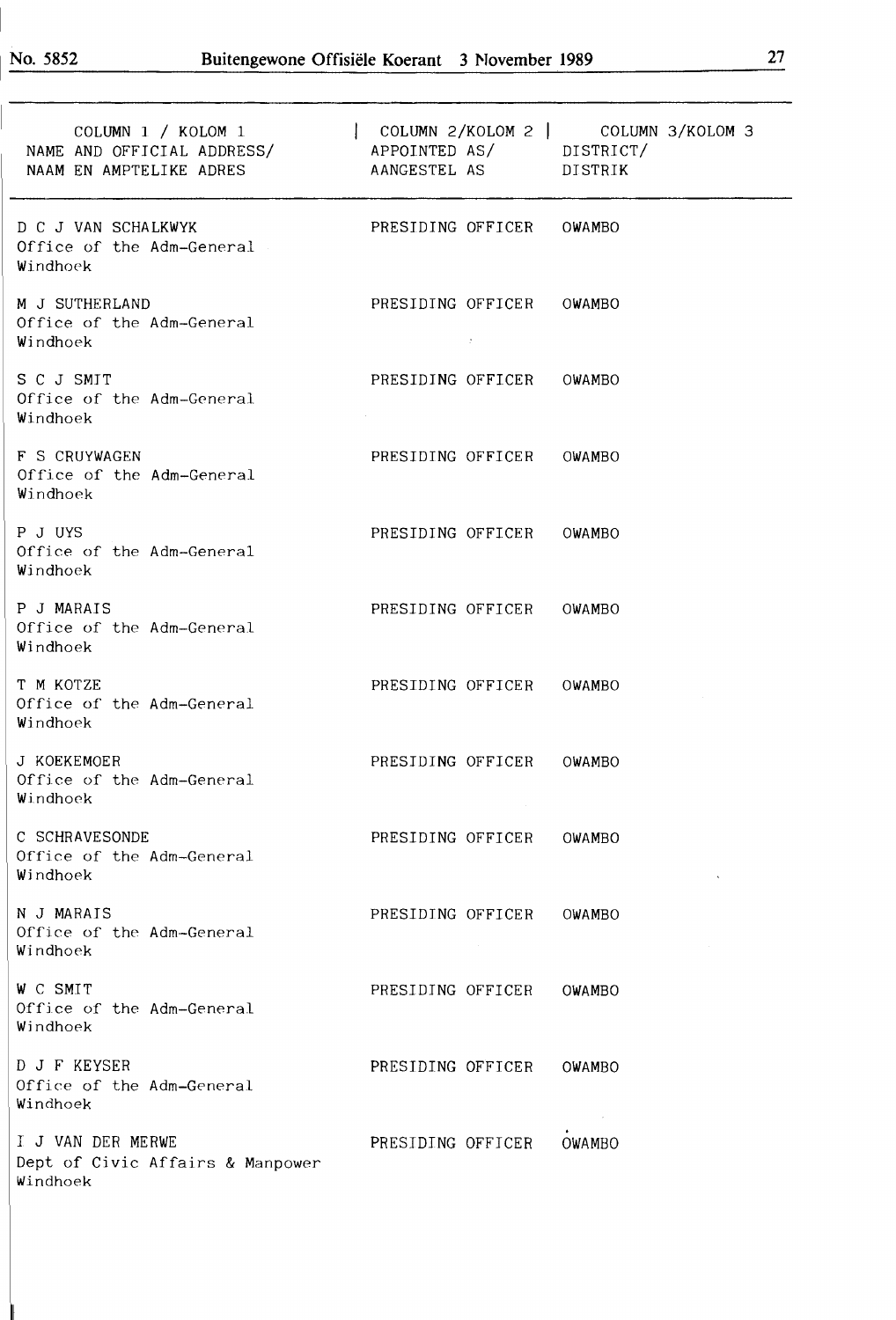$\mathbb{I}$ 

| COLUMN 1 / KOLOM 1<br>NAME AND OFFICIAL ADDRESS/<br>NAAM EN AMPTELIKE ADRES | APPOINTED AS/ DISTRICT/<br>AANGESTEL AS DISTRIK | $\vert$ COLUMN 2/KOLOM 2 $\vert$ COLUMN 3/KOLOM 3 |
|-----------------------------------------------------------------------------|-------------------------------------------------|---------------------------------------------------|
| D C J VAN SCHALKWYK<br>Office of the Adm-General<br>Windhoek                | PRESIDING OFFICER                               | <b>OWAMBO</b>                                     |
| M J SUTHERLAND<br>Office of the Adm-General<br>Windhoek                     | PRESIDING OFFICER<br>$\sim 10^{-1}$             | OWAMBO                                            |
| S C J SMIT<br>Office of the Adm-General<br>Windhoek                         | PRESIDING OFFICER                               | OWAMBO                                            |
| <b>F S CRUYWAGEN</b><br>Office of the Adm-General<br>Windhoek               | PRESIDING OFFICER                               | OWAMBO                                            |
| P J UYS<br>Office of the Adm-General<br>Windhoek                            | PRESIDING OFFICER                               | OWAMBO                                            |
| P J MARAIS<br>Office of the Adm-General<br>Windhoek                         | PRESIDING OFFICER                               | OWAMBO                                            |
| T M KOTZE<br>Office of the Adm-General<br>Windhoek                          | PRESIDING OFFICER                               | OWAMBO                                            |
| J KOEKEMOER<br>Office of the Adm-General<br>Windhoek                        | PRESIDING OFFICER                               | OWAMBO                                            |
| C SCHRAVESONDE<br>Office of the Adm-General<br>Windhoek                     | PRESIDING OFFICER                               | <b>OWAMBO</b>                                     |
| N J MARAIS<br>Office of the Adm-General<br>Windhoek                         | PRESIDING OFFICER                               | OWAMBO                                            |
| W C SMIT<br>Office of the Adm-General<br>Windhoek                           | PRESIDING OFFICER                               | OWAMBO                                            |
| D J F KEYSER<br>Office of the Adm-General<br>Windhoek                       | PRESIDING OFFICER                               | OWAMBO                                            |
| I J VAN DER MERWE<br>Dept of Civic Affairs & Manpower<br>Windhoek           | PRESIDING OFFICER                               | OWAMBO                                            |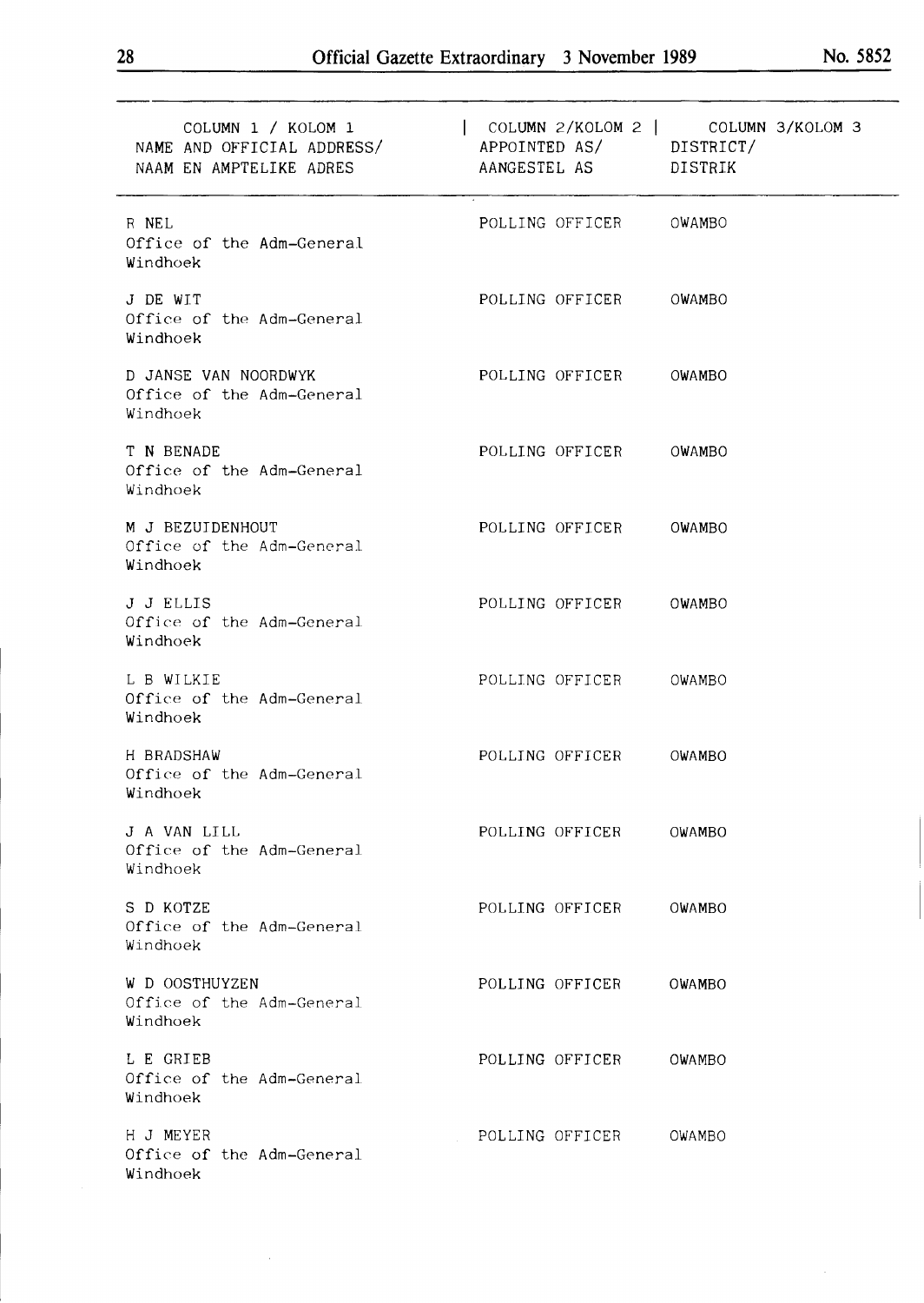| COLUMN 1 / KOLOM 1<br>NAME AND OFFICIAL ADDRESS/<br>NAAM EN AMPTELIKE ADRES | APPOINTED AS/ DISTRICT/<br>AANGESTEL AS DISTRIK | COLUMN 2/KOLOM 2   COLUMN 3/KOLOM 3 |
|-----------------------------------------------------------------------------|-------------------------------------------------|-------------------------------------|
| R NEL<br>Office of the Adm-General<br>Windhoek                              | POLLING OFFICER                                 | OWAMBO                              |
| J DE WIT<br>Office of the Adm-General<br>Windhoek                           | POLLING OFFICER                                 | OWAMBO                              |
| D JANSE VAN NOORDWYK<br>Office of the Adm-General<br>Windhoek               | POLLING OFFICER                                 | OWAMBO                              |
| T N BENADE<br>Office of the Adm-General<br>Windhoek                         | POLLING OFFICER                                 | OWAMBO                              |
| M J BEZUIDENHOUT<br>Office of the Adm-General<br>Windhoek                   | POLLING OFFICER                                 | OWAMBO                              |
| J J ELLIS<br>Office of the Adm-General<br>Windhoek                          | POLLING OFFICER                                 | OWAMBO                              |
| L B WILKIE<br>Office of the Adm-General<br>Windhoek                         | POLLING OFFICER                                 | OWAMBO                              |
| H BRADSHAW<br>Office of the Adm-General<br>Windhoek                         | POLLING OFFICER                                 | OWAMBO                              |
| J A VAN LILL<br>Office of the Adm-General<br>Windhoek                       | POLLING OFFICER                                 | OWAMBO                              |
| S D KOTZE<br>Office of the Adm-General<br>Windhoek                          | POLLING OFFICER                                 | OWAMBO                              |
| W D OOSTHUYZEN<br>Office of the Adm-General<br>Windhoek                     | POLLING OFFICER                                 | OWAMBO                              |
| L E GRIEB<br>Office of the Adm-General<br>Windhoek                          | POLLING OFFICER                                 | OWAMBO                              |
| H J MEYER<br>Office of the Adm-General<br>Windhoek                          | POLLING OFFICER                                 | OWAMBO                              |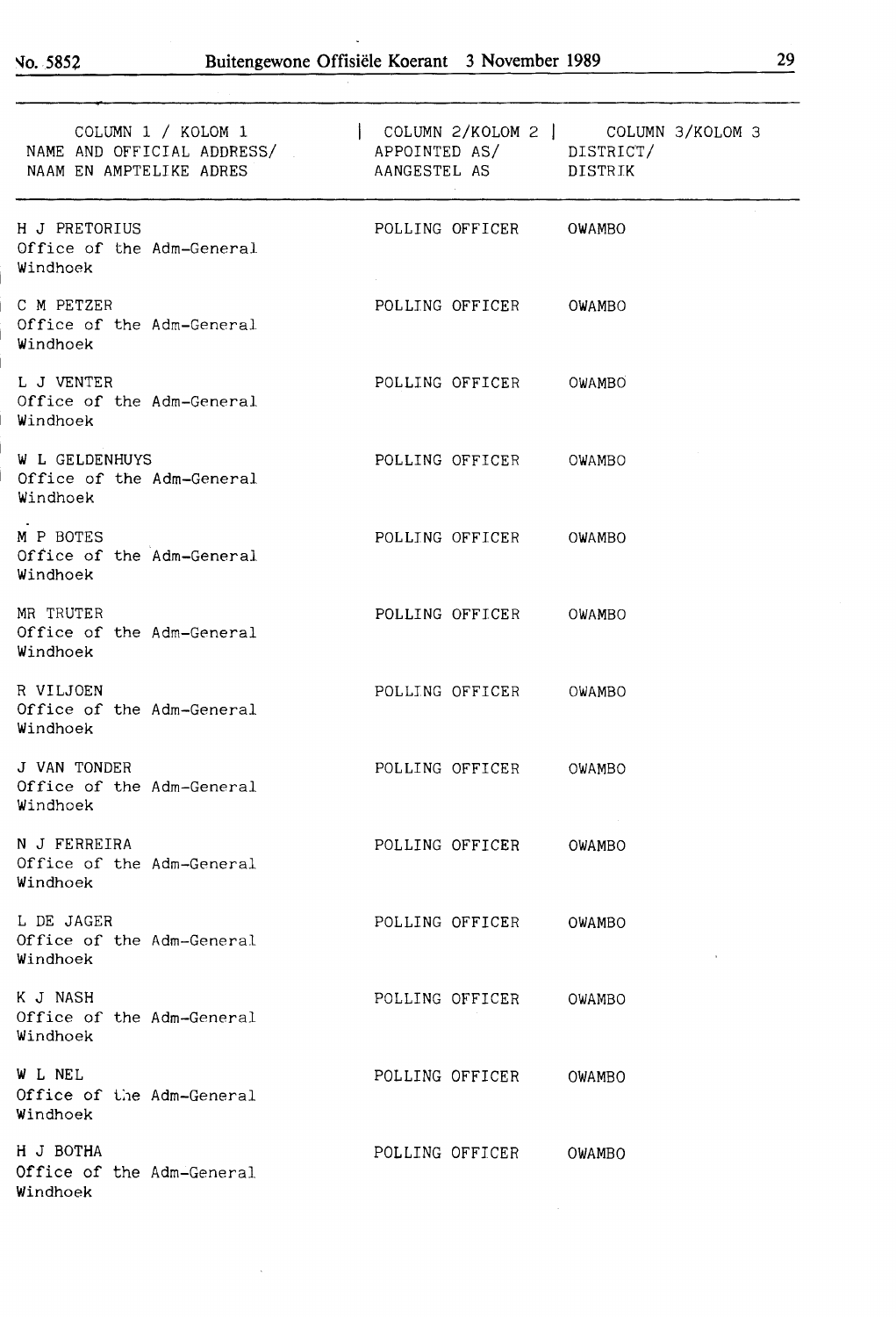No. 5852

| COLUMN 1 / KOLOM 1<br>NAME AND OFFICIAL ADDRESS/ APPOINTED AS/ DISTRICT/<br>NAAM EN AMPTELIKE ADRES | $\vert$ COLUMN 2/KOLOM 2 $\vert$ COLUMN 3/KOLOM 3<br>AANGESTEL AS DISTRIK |  |
|-----------------------------------------------------------------------------------------------------|---------------------------------------------------------------------------|--|
| H J PRETORIUS<br>Office of the Adm-General<br>Windhoek                                              | POLLING OFFICER<br>OWAMBO                                                 |  |
| C M PETZER<br>Office of the Adm-General<br>Windhoek                                                 | POLLING OFFICER<br>OWAMBO                                                 |  |
| L J VENTER<br>Office of the Adm-General<br>Windhoek                                                 | POLLING OFFICER<br>OWAMBO                                                 |  |
| <b>W L GELDENHUYS</b><br>Office of the Adm-General<br>Windhoek                                      | POLLING OFFICER<br>OWAMBO                                                 |  |
| M P BOTES<br>Office of the Adm-General<br>Windhoek                                                  | POLLING OFFICER<br>OWAMBO                                                 |  |
| MR TRUTER<br>Office of the Adm-General<br>Windhoek                                                  | POLLING OFFICER<br>OWAMBO                                                 |  |
| R VILJOEN<br>Office of the Adm-General<br>Windhoek                                                  | POLLING OFFICER<br>OWAMBO                                                 |  |
| J VAN TONDER<br>Office of the Adm-General<br>Windhoek                                               | POLLING OFFICER<br>OWAMBO                                                 |  |
| N J FERREIRA<br>Office of the Adm-General<br>Windhoek                                               | POLLING OFFICER<br>OWAMBO                                                 |  |
| L DE JAGER<br>Office of the Adm-General<br>Windhoek                                                 | POLLING OFFICER OWAMBO                                                    |  |
| K J NASH<br>Office of the Adm-General<br>Windhoek                                                   | POLLING OFFICER OWAMBO                                                    |  |
| W L NEL<br>Office of the Adm-General<br>Windhoek                                                    | POLLING OFFICER OWAMBO                                                    |  |
| H J BOTHA<br>Office of the Adm-General<br>Windhoek                                                  | POLLING OFFICER OWAMBO                                                    |  |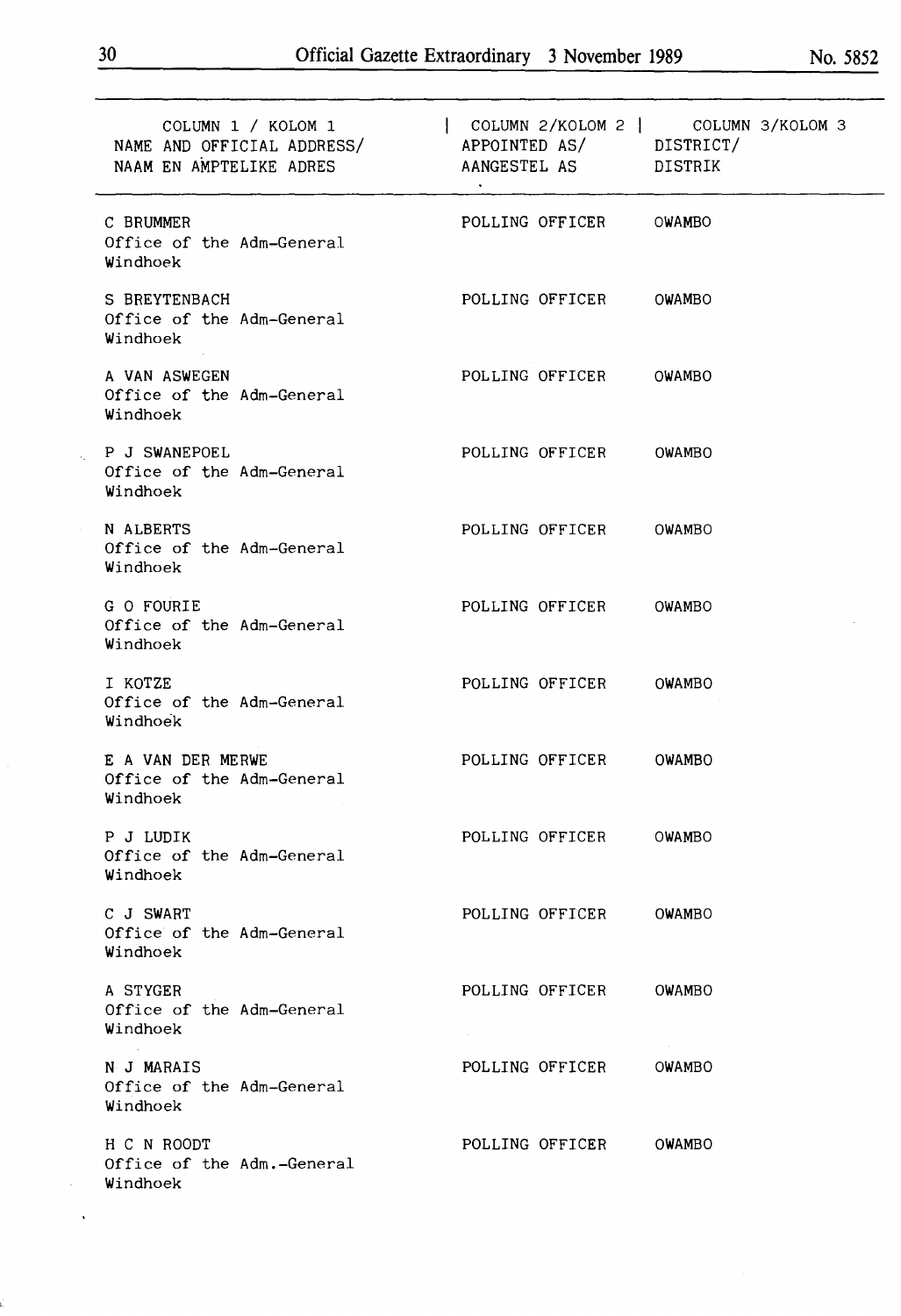| COLUMN 1 / KOLOM 1<br>NAME AND OFFICIAL ADDRESS/<br>NAAM EN AMPTELIKE ADRES | APPOINTED AS/ DISTRICT/<br>AANGESTEL AS DISTRIK | COLUMN 2/KOLOM 2   COLUMN 3/KOLOM 3 |
|-----------------------------------------------------------------------------|-------------------------------------------------|-------------------------------------|
| C BRUMMER<br>Office of the Adm-General<br>Windhoek                          | POLLING OFFICER OWAMBO                          |                                     |
| S BREYTENBACH<br>Office of the Adm-General<br>Windhoek                      | POLLING OFFICER OWAMBO                          |                                     |
| A VAN ASWEGEN<br>Office of the Adm-General<br>Windhoek                      | POLLING OFFICER OWAMBO                          |                                     |
| P J SWANEPOEL<br>Office of the Adm-General<br>Windhoek                      | POLLING OFFICER OWAMBO                          |                                     |
| N ALBERTS<br>Office of the Adm-General<br>Windhoek                          | POLLING OFFICER                                 | OWAMBO                              |
| G O FOURIE<br>Office of the Adm-General<br>Windhoek                         | POLLING OFFICER                                 | OWAMBO                              |
| I KOTZE<br>Office of the Adm-General<br>Windhoek                            | POLLING OFFICER                                 | OWAMBO                              |
| E A VAN DER MERWE<br>Office of the Adm-General<br>Windhoek                  | POLLING OFFICER                                 | OWAMBO                              |
| P J LUDIK<br>Office of the Adm-General<br>Windhoek                          | POLLING OFFICER                                 | OWAMBO                              |
| C J SWART<br>Office of the Adm-General<br>Windhoek                          | POLLING OFFICER OWAMBO                          |                                     |
| A STYGER<br>Office of the Adm-General<br>Windhoek                           | POLLING OFFICER OWAMBO                          |                                     |
| N J MARAIS<br>Office of the Adm-General<br>Windhoek                         | POLLING OFFICER                                 | OWAMBO                              |
| H C N ROODT<br>Office of the Adm.-General<br>Windhoek                       | POLLING OFFICER OWAMBO                          |                                     |

 $\hat{\mathcal{A}}$ 

 $\mathcal{A}^{(1)}$  $\sim$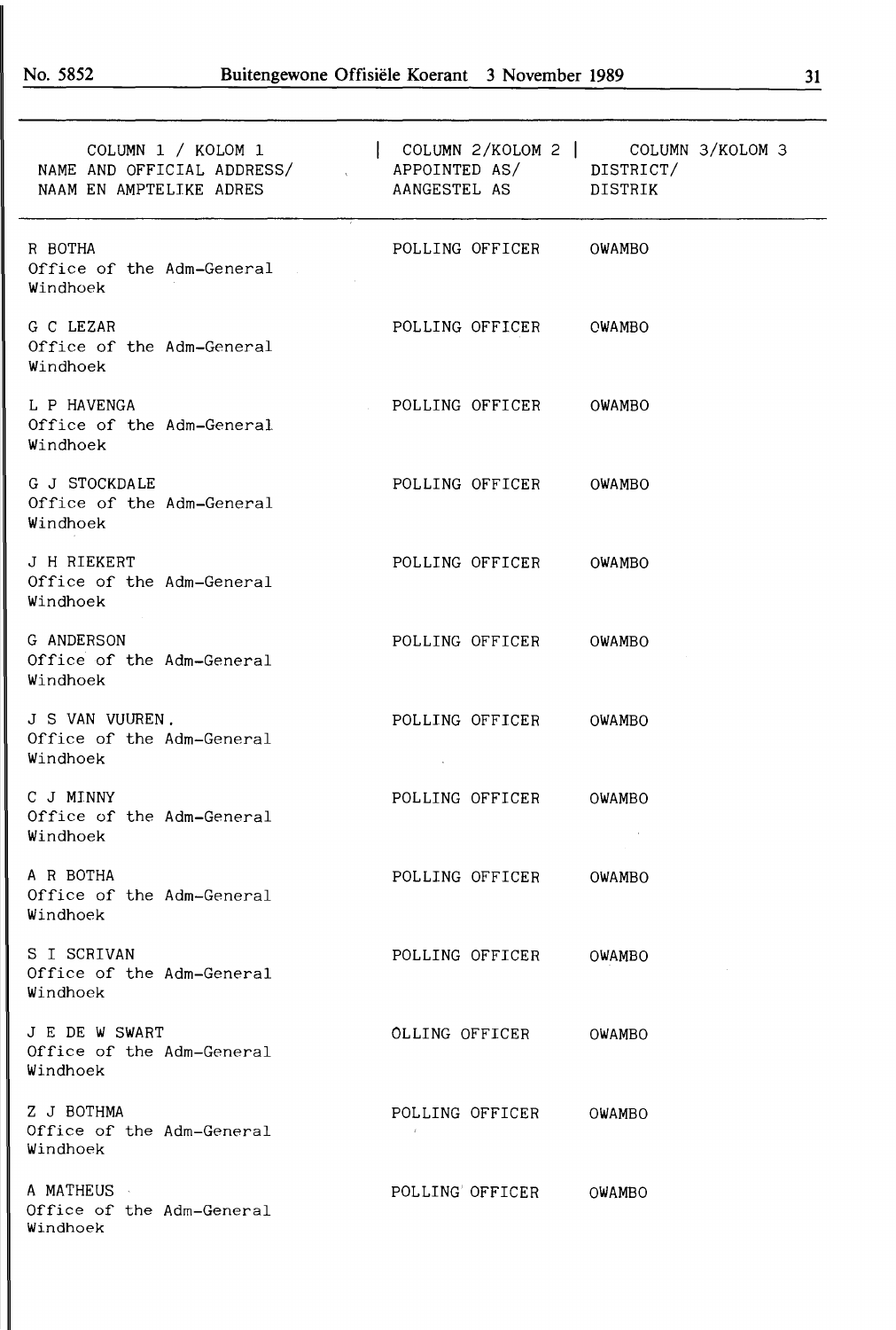| COLUMN 1 / KOLOM 1<br>NAME AND OFFICIAL ADDRESS/<br>NAAM EN AMPTELIKE ADRES | APPOINTED AS/ DISTRICT/<br>AANGESTEL AS | COLUMN 2/KOLOM 2   COLUMN 3/KOLOM 3<br>DISTRIK |
|-----------------------------------------------------------------------------|-----------------------------------------|------------------------------------------------|
| R BOTHA<br>Office of the Adm-General<br>Windhoek                            | POLLING OFFICER                         | OWAMBO                                         |
| G C LEZAR<br>Office of the Adm-General<br>Windhoek                          | POLLING OFFICER                         | <b>CWAMBO</b>                                  |
| L P HAVENGA<br>Office of the Adm-General<br>Windhoek                        | POLLING OFFICER                         | OWAMBO                                         |
| G J STOCKDALE<br>Office of the Adm-General<br>Windhoek                      | POLLING OFFICER                         | OWAMBO                                         |
| J H RIEKERT<br>Office of the Adm-General<br>Windhoek                        | POLLING OFFICER                         | OWAMBO                                         |
| G ANDERSON<br>Office of the Adm-General<br>Windhoek                         | POLLING OFFICER                         | <b>OWAMBO</b>                                  |
| J S VAN VUUREN.<br>Office of the Adm-General<br>Windhoek                    | POLLING OFFICER                         | OWAMBO                                         |
| C J MINNY<br>Office of the Adm-General<br>Windhoek                          | POLLING OFFICER                         | OWAMBO                                         |
| A R BOTHA<br>Office of the Adm-General<br>Windhoek                          | POLLING OFFICER                         | OWAMBO                                         |
| S I SCRIVAN<br>Office of the Adm-General<br>Windhoek                        | POLLING OFFICER                         | OWAMBO                                         |
| J E DE W SWART<br>Office of the Adm-General<br>Windhoek                     | OLLING OFFICER                          | OWAMBO                                         |
| Z J BOTHMA<br>Office of the Adm-General<br>Windhoek                         | POLLING OFFICER                         | OWAMBO                                         |
| A MATHEUS<br>Office of the Adm-General<br>Windhoek                          | POLLING' OFFICER                        | OWAMBO                                         |